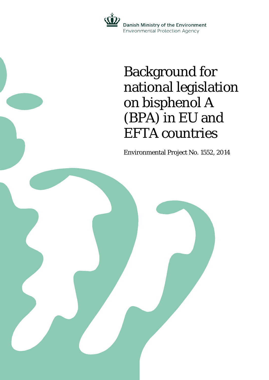

## Background for national legislation on bisphenol A (BPA) in EU and EFTA countries

Environmental Project No. 1552, 2014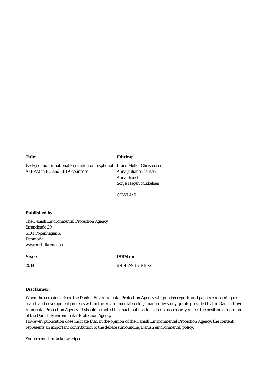### **Title:**

Background for national legislation on bisphenol Frans Møller Christensen A (BPA) in EU and EFTA countries

**Editing:**

Anna Juliane Clausen Anna Brinch Sonja Hagen Mikkelsen

COWI A/S

### **Published by:**

The Danish Environmental Protection Agency Strandgade 29 1401 Copenhagen K Denmark www.mst.dk/english

#### **Year:**

2014

978-87-93178-18-2

**ISBN no.**

### **Disclaimer:**

When the occasion arises, the Danish Environmental Protection Agency will publish reports and papers concerning research and development projects within the environmental sector, financed by study grants provided by the Danish Environmental Protection Agency. It should be noted that such publications do not necessarily reflect the position or opinion of the Danish Environmental Protection Agency.

However, publication does indicate that, in the opinion of the Danish Environmental Protection Agency, the content represents an important contribution to the debate surrounding Danish environmental policy.

Sources must be acknowledged.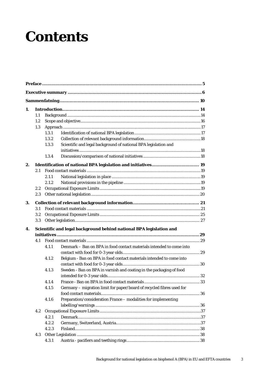## **Contents**

| 1. |         |       |                                                                       |  |
|----|---------|-------|-----------------------------------------------------------------------|--|
|    | 1.1     |       |                                                                       |  |
|    | 1.2     |       |                                                                       |  |
|    | 1.3     |       |                                                                       |  |
|    |         | 1.3.1 |                                                                       |  |
|    |         | 1.3.2 |                                                                       |  |
|    |         | 1.3.3 | Scientific and legal background of national BPA legislation and       |  |
|    |         |       |                                                                       |  |
|    |         | 1.3.4 |                                                                       |  |
| 2. |         |       | Identification of national BPA legislation and initiatives 19         |  |
|    | 2.1     |       |                                                                       |  |
|    |         | 2.11  |                                                                       |  |
|    |         | 2.1.2 |                                                                       |  |
|    | $2.2\,$ |       |                                                                       |  |
|    | 2.3     |       |                                                                       |  |
| 3. |         |       |                                                                       |  |
|    | 3.1     |       |                                                                       |  |
|    | 3.2     |       |                                                                       |  |
|    | 3.3     |       |                                                                       |  |
| 4. |         |       | Scientific and legal background behind national BPA legislation and   |  |
|    |         |       |                                                                       |  |
|    | 4.1     |       |                                                                       |  |
|    |         | 4.1.1 | Denmark - Ban on BPA in food contact materials intended to come into  |  |
|    |         |       |                                                                       |  |
|    |         | 4.1.2 | Belgium - Ban on BPA in food contact materials intended to come into  |  |
|    |         |       |                                                                       |  |
|    |         | 4.1.3 | Sweden - Ban on BPA in varnish and coating in the packaging of food   |  |
|    |         |       |                                                                       |  |
|    |         | 4.1.4 |                                                                       |  |
|    |         | 4.1.5 | Germany - migration limit for paper/board of recycled fibres used for |  |
|    |         |       |                                                                       |  |
|    |         | 4.1.6 | Preparation/consideration France - modalities for implementing        |  |
|    |         |       |                                                                       |  |
|    | 4.2     |       |                                                                       |  |
|    |         | 4.2.1 |                                                                       |  |
|    |         | 4.2.2 |                                                                       |  |
|    |         | 4.2.3 |                                                                       |  |
|    | 4.3     |       |                                                                       |  |
|    |         | 4.3.1 |                                                                       |  |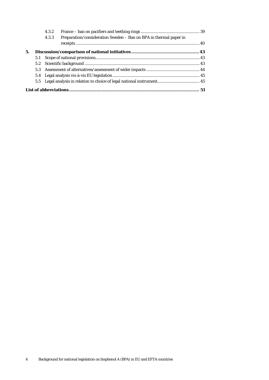|    |     | 4.3.2                                                                      |  |
|----|-----|----------------------------------------------------------------------------|--|
|    |     | Preparation/consideration Sweden - Ban on BPA in thermal paper in<br>4.3.3 |  |
|    |     |                                                                            |  |
| 5. |     |                                                                            |  |
|    | 5.1 |                                                                            |  |
|    |     |                                                                            |  |
|    |     |                                                                            |  |
|    |     |                                                                            |  |
|    |     |                                                                            |  |
|    |     |                                                                            |  |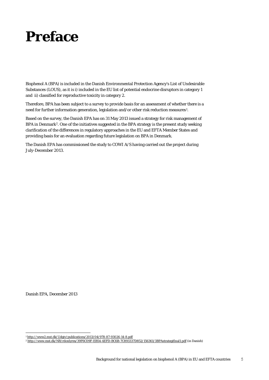## <span id="page-4-0"></span>**Preface**

Bisphenol A (BPA) is included in [the Danish Environmental Protection Agency's List of Undesirable](http://www.mst.dk/Virksomhed_og_myndighed/Kemikalier/Stoflister+og+databaser/listen_over_uoenskede_stoffer/listen_over_uoenskede_stoffer.htm)  [Substances](http://www.mst.dk/Virksomhed_og_myndighed/Kemikalier/Stoflister+og+databaser/listen_over_uoenskede_stoffer/listen_over_uoenskede_stoffer.htm) (LOUS), as it is i) included in the EU list of potential endocrine disruptors in category 1 and ii) classified for reproductive toxicity in category 2.

Therefore, BPA has been subject to a survey to provide basis for an assessment of whether there is a need for further information generation, legislation and/or other risk reduction measures[1.](#page-13-2)

Based on the survey, the Danish EPA has on 31 May 2013 issued a strategy for risk management of BPA in Denmark[2.](#page-4-1) One of the initiatives suggested in the BPA strategy is the present study seeking clarification of the differences in regulatory approaches in the EU and EFTA Member States and providing basis for an evaluation regarding future legislation on BPA in Denmark.

The Danish EPA has commissioned the study to COWI A/S having carried out the project during July-December 2013.

Danish EPA, December 2013

 <sup>1</sup> <http://www2.mst.dk/Udgiv/publications/2013/04/978-87-93026-14-8.pdf>

<span id="page-4-1"></span><sup>2</sup> <http://www.mst.dk/NR/rdonlyres/39F6C09F-EB54-4EFD-BC6B-7C893337D852/156361/3BPAstrategifinal1.pdf> (in Danish)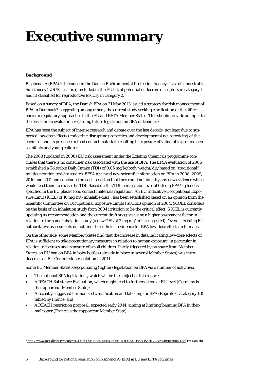## <span id="page-5-0"></span>**Executive summary**

### *Background*

Bisphenol A (BPA) is included in [the Danish Environmental Protection Agency's List of Undesirable](http://www.mst.dk/Virksomhed_og_myndighed/Kemikalier/Stoflister+og+databaser/listen_over_uoenskede_stoffer/listen_over_uoenskede_stoffer.htm)  [Substances](http://www.mst.dk/Virksomhed_og_myndighed/Kemikalier/Stoflister+og+databaser/listen_over_uoenskede_stoffer/listen_over_uoenskede_stoffer.htm) (LOUS), as it is i) included in the EU list of potential endocrine disruptors in category 1 and ii) classified for reproductive toxicity in category 2.

Based on a survey of BPA, the Danish EPA on 31 May 2013 issued a strategy for risk management of BPA in Denmark<sup>3</sup>, suggesting among others, the current study seeking clarification of the differences in regulatory approaches in the EU and EFTA Member States. This should provide an input to the basis for an evaluation regarding future legislation on BPA in Denmark.

BPA has been the subject of intense research and debate over the last decade, not least due to suspected low-dose effects (endocrine disrupting properties and developmental neurotoxicity) of the chemical and its presence in food contact materials resulting in exposure of vulnerable groups such as infants and young children.

The 2003 (updated in 2008) EU risk assessment under the Existing Chemicals programme concludes that there is no consumer risk associated with the use of BPA. The EFSA evaluation of 2006 established a Tolerable Daily Intake (TDI) of 0.05 mg/kg body weight/day based on "traditional" multigeneration toxicity studies. EFSA reviewed new scientific information on BPA in 2008, 2009, 2010 and 2011 and concluded on each occasion that they could not identify any new evidence which would lead them to revise the TDI. Based on this TDI, a migration level of 0.6 mg BPA/kg food is specified in the EU plastic food contact materials regulation. An EU Indicative Occupational Exposure Limit (IOEL) of 10 mg/m3 (inhalable dust), has been established based on an opinion from the Scientific Committee on Occupational Exposure Limits (SCOEL) opinion of 2004. SCOEL considers on the basis of an inhalation study from 2004 irritation to be the critical effect. SCOEL is currently updating its recommendation and the current draft suggests using a higher assessment factor in relation to the same inhalation study (a new OEL of 2 mg mg/m3 is suggested). Overall, existing EU authoritative assessments do not find the sufficient evidence for BPA low-dose effects in humans.

On the other side, some Member States find that the increase in data indicating low-dose effects of BPA is sufficient to take precautionary measures in relation to human exposure, in particular in relation to foetuses and exposure of small children. Partly triggered by pressure from Member States, an EU ban on BPA in baby bottles (already in place in several Member States) was introduced as an EU Commission regulation in 2011.

Some EU Member States keep pursuing (tighter) legislation on BPA via a number of activities:

- The national BPA legislations, which will be the subject of this report;
- A REACH Substance Evaluation, which might lead to further action at EU level (Germany is the rapporteur Member State);
- A recently suggested harmonised classification and labelling for BPA (Reprotoxic Category 1B) tabled by France, and
- A REACH restriction proposal, expected early 2014, aiming at limiting/banning BPA in thermal paper (France is the rapporteur Member State).

<span id="page-5-1"></span> <sup>3</sup> <http://www.mst.dk/NR/rdonlyres/39F6C09F-EB54-4EFD-BC6B-7C893337D852/156361/3BPAstrategifinal1.pdf> (in Danish)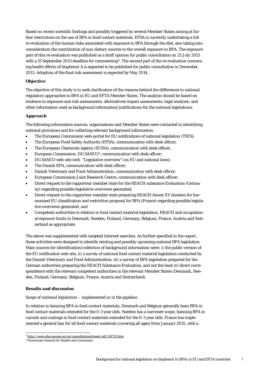Based on recent scientific findings and possibly triggered by several Member States aiming at further restrictions on the use of BPA in food contact materials, EFSA is currently undertaking a full re-evaluation of the human risks associated with exposure to BPA through the diet, also taking into consideration the contribution of non-dietary sources to the overall exposure to BPA. The exposure part of this re-evaluation was published as a draft opinion for public consultation on 25 July 2013 with a 15 September 2013 deadline for commenting<sup>4</sup>. The second part of the re-evaluation concerning health effects of bisphenol A is expected to be published for public consultation in December 2013. Adoption of the final risk assessment is expected by May 2014.

### *Objective*

The objective of this study is to seek clarification of the reasons behind the differences in national regulatory approaches to BPA in EU and EFTA Member States. The analysis should be based on evidence in exposure and risk assessments, alternatives/impact assessments, legal analyses, and other information used as background information/justifications for the national legislations.

### *Approach*

The following information sources, organisations and Member States were contacted in identifying national provisions and for collecting relevant background information:

- The European Commission web-portal for EU notifications of national legislation (TRIS);
- The European Food Safety Authority (EFSA), communication with desk officer;
- The European Chemicals Agency (ECHA), communication with desk officer;
- European Commission, DG SANCO[5](#page-6-0), communication with desk officer;
- DG SANCO web-site with "Legislative overview" (on EU and national laws);
- The Danish EPA, communication with desk officer;
- Danish Veterinary and Food Administration, communication with desk officer;
- European Commission Joint Research Centre, communication with desk officer;
- Direct request to the rapporteur member state for the REACH substance Evaluation (Germany) regarding possible legislative overviews generated;
- Direct request to the rapporteur member state preparing REACH Annex XV dossiers for harmonised EU classification and restriction proposal for BPA (France) regarding possible legislative overviews generated, and
- Competent authorities in relation to food contact material legislation, REACH and occupational exposure limits in Denmark, Sweden, Finland, Germany, Belgium, France, Austria and Switzerland as appropriate.

The above was supplemented with targeted Internet searches. As further specified in the report, these activities were designed to identify existing and possibly upcoming national BPA legislation. Main sources for identification/collection of background information were: i) the public version of the EU notification web-site, ii) a survey of national food contact material legislation conducted by the Danish Veterinary and Food Administration, iii) a survey of BPA legislation prepared for the German authorities preparing the REACH Substance Evaluation, and not the least iv) direct correspondence with the relevant competent authorities in the relevant Member States (Denmark, Sweden, Finland, Germany, Belgium, France, Austria and Switzerland).

### *Results and discussion*

### *Scope of national legislation – implemented or in the pipeline*

In relation to banning BPA in food contact materials, Denmark and Belgium generally bans BPA in food contact materials intended for the 0-3 year olds. Sweden has a narrower scope, banning BPA in varnish and coatings in food contact materials intended for the 0-3 year olds. France has implemented a general ban for all food contact materials (covering all ages) from January 2015, with a

 <sup>4</sup> <http://www.efsa.europa.eu/en/consultationsclosed/call/130725.htm>

<span id="page-6-0"></span><sup>5</sup> Directorate General for Health and Consumers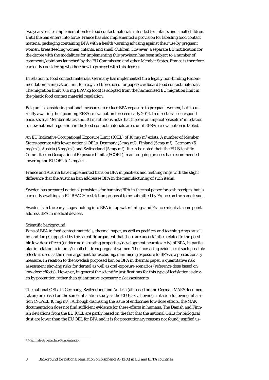two years earlier implementation for food contact materials intended for infants and small children. Until the ban enters into force, France has also implemented a provision for labelling food contact material packaging containing BPA with a health warning advising against their use by pregnant women, breastfeeding women, infants, and small children. However, a separate EU notification for the decree with the modalities for implementing this provision has been subject to a number of comments/opinions launched by the EU Commission and other Member States. France is therefore currently considering whether/how to proceed with this decree.

In relation to food contact materials, Germany has implemented (in a legally non-binding Recommendation) a migration limit for recycled fibres used for paper/cardboard food contact materials. The migration limit (0.6 mg BPA/kg food) is adopted from the harmonised EU migration limit in the plastic food contact material regulation.

Belgium is considering national measures to reduce BPA exposure to pregnant women, but is currently awaiting the upcoming EFSA re-evaluation foreseen early 2014. In direct oral correspondence, several Member States and EU institutions note that there is an implicit 'ceasefire' in relation to new national regulation in the food contact materials area, until EFSAs re-evaluation is tabled.

An EU Indicative Occupational Exposure Limit (IOEL) of 10 mg/m3 exists. A number of Member States operate with lower national OELs: Denmark  $(3 \text{ mg/m}^3)$ , Finland  $(5 \text{ mg/m}^3)$ , Germany  $(5 \text{ mg/m}^3)$ mg/m<sup>3</sup>), Austria (5 mg/m<sup>3</sup>) and Switzerland (5 mg/m<sup>3</sup>). It can be noted that, the EU Scientific Committee on Occupational Exposure Limits (SCOEL) in an on-going process has recommended lowering the EU OEL to 2 mg/m3.

France and Austria have implemented bans on BPA in pacifiers and teething rings with the slight difference that the Austrian ban addresses BPA in the manufacturing of such items.

Sweden has prepared national provisions for banning BPA in thermal paper for cash receipts, but is currently awaiting an EU REACH restriction proposal to be submitted by France on the same issue.

Sweden is in the early stages looking into BPA in tap water linings and France might at some point address BPA in medical devices.

### *Scientific background*

Bans of BPA in food contact materials, thermal paper, as well as pacifiers and teething rings are all by-and-large supported by the scientific argument that there are uncertainties related to the possible low-dose effects (endocrine disrupting properties/development neurotoxicity) of BPA, in particular in relation to infants/small children/pregnant women. The increasing evidence of such possible effects is used as the main argument for excluding/minimising exposure to BPA as a precautionary measure. In relation to the Swedish proposed ban on BPA in thermal paper, a quantitative risk assessment showing risks for dermal as well as oral exposure scenarios (reference dose based on low-dose effects). However, in general the scientific justifications for this type of legislation is driven by precaution rather than quantitative exposure/risk assessments.

The national OELs in Germany, Switzerland and Austria (all based on the German MAK<sup>[6](#page-6-0)</sup> documentation) are based on the same inhalation study as the EU IOEL showing irritation following inhalation (NOAEL 10 mg/m<sup>3</sup>). Although discussing the issue of endocrine/low-dose effects, the MAK documentation does not find sufficient evidence for these effects in humans. The Danish and Finnish deviations from the EU IOEL are partly based on the fact that the national OELs for biological dust are lower than the EU OEL for BPA and it is for precautionary reasons not found justified us-

<span id="page-7-0"></span> <sup>6</sup> Maximale Arbeitsplatz-Konzentration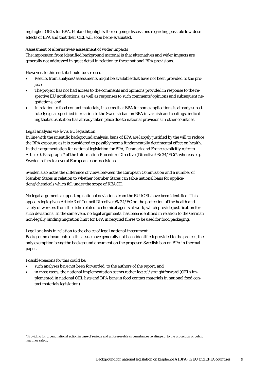ing higher OELs for BPA. Finland highlights the on-going discussions regarding possible low-dose effects of BPA and that their OEL will soon be re-evaluated.

#### *Assessment of alternatives/assessment of wider impacts*

The impression from identified background material is that alternatives and wider impacts are generally not addressed in great detail in relation to these national BPA provisions.

However, to this end, it should be stressed:

- Results from analyses/assessments might be available that have not been provided to the project;
- The project has not had access to the comments and opinions provided in response to the respective EU notifications, as well as responses to such comments/opinions and subsequent negotiations, and
- In relation to food contact materials, it seems that BPA for some applications is already substituted; e.g. as specified in relation to the Swedish ban on BPA in varnish and coatings, indicating that substitution has already taken place due to national provisions in other countries.

### *Legal analysis vis-à-vis EU legislation*

In line with the scientific background analysis, bans of BPA are largely justified by the will to reduce the BPA exposure as it is considered to possibly pose a fundamentally detrimental effect on health. In their argumentation for national legislation for BPA, Denmark and France explicitly refer to Article 9, Paragraph [7](#page-7-0) of the Information Procedure Directive (Directive 98/34/EC)<sup>7</sup>, whereas e.g. Sweden refers to several European court decisions.

Sweden also notes the difference of views between the European Commission and a number of Member States in relation to whether Member States can table national bans for applications/chemicals which fall under the scope of REACH.

No legal arguments supporting national deviations from the EU IOEL have been identified. This appears logic given Article 3 of Council Directive 98/24/EC on the protection of the health and safety of workers from the risks related to chemical agents at work, which provide justification for such deviations. In the same vein, no legal arguments has been identified in relation to the German non-legally binding migration limit for BPA in recycled fibres to be used for food packaging.

### *Legal analysis in relation to the choice of legal national instrument*

Background documents on this issue have generally not been identified/provided to the project, the only exemption being the background document on the proposed Swedish ban on BPA in thermal paper.

Possible reasons for this could be:

- such analyses have not been forwarded to the authors of the report, and
- in most cases, the national implementation seems rather logical/straightforward (OELs implemented in national OEL lists and BPA bans in food contact materials in national food contact materials legislation).

<span id="page-8-0"></span> <sup>7</sup> Providing for urgent national action in case of serious and unforeseeable circumstances relating e.g. to the protection of public health or safety.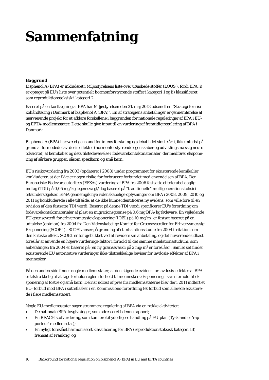# <span id="page-9-0"></span>**Sammenfatning**

### *Baggrund*

Bisphenol A (BPA) er inkluderet i Miljøstyrelsens liste over uønskede stoffer (LOUS ), fordi BPA: i) er optaget på EU's liste over potentielt hormonforstyrrende stoffer i kategori 1 og ii) klassificeret som reproduktionstoksisk i kategori 2.

Baseret på en kortlægning af BPA har Miljøstyrelsen den 31. maj 2013 udsendt en "Strategi for risikohåndtering i Danmark af bisphenol A (BPA)". En af strategiens anbefalinger er gennemførelse af nærværende projekt for at afklare forskellene i baggrunden for nationale reguleringer af BPA i EUog EFTA-medlemsstater. Dette skulle give input til en vurdering af fremtidig regulering af BPA i Danmark.

Bisphenol A (BPA) har været genstand for intens forskning og debat i det sidste årti, ikke mindst på grund af formodede lav-dosis effekter (hormonforstyrrende egenskaber og udviklingsmæssig neurotoksicitet) af kemikaliet og dets tilstedeværelse i fødevarekontaktmaterialer, der medfører eksponering af sårbare grupper, såsom spædbørn og små børn.

EU's risikovurdering fra 2003 (opdateret i 2008) under programmet for eksisterende kemikalier konkluderer, at der ikke er nogen risiko for forbrugere forbundet med anvendelsen af BPA. Den Europæiske Fødevareautoritets (EFSAs) vurdering af BPA fra 2006 fastsatte et tolerabel daglig indtag (TDI) på 0,05 mg/kg legemsvægt/dag baseret på "traditionelle" multigenerations toksicitetsundersøgelser. EFSA gennemgik nye videnskabelige oplysninger om BPA i 2008, 2009, 2010 og 2011 og konkluderede i alle tilfælde, at de ikke kunne identificeres ny evidens, som ville føre til en revision af den fastsatte TDI værdi. Baseret på denne TDI værdi specificerer EU's forordning om fødevarekontaktmaterialer af plast en migrationsgrænse på 0,6 mg BPA/kg fødevare. En vejledende EU grænseværdi for erhvervsmæssig eksponering (IOEL) på 10 mg/m3 er fastsat baseret på en udtalelse (opinion) fra 2004 fra Den Videnskabelige Komité for Grænseværdier for Erhvervsmæssig Eksponering (SCOEL). SCOEL anser på grundlag af et inhalationsstudie fra 2004 irritation som den kritiske effekt. SCOEL er for øjeblikket ved at revidere sin anbefaling, og det nuværende udkast foreslår at anvende en højere vurderings-faktor i forhold til det samme inhalationsstudium, som anbefalingen fra 2004 er baseret på (en ny grænseværdi på 2 mg/m3 er foreslået). Samlet set finder eksisterende EU autoritative vurderinger ikke tilstrækkelige beviser for lavdosis-effekter af BPA i mennesker.

På den anden side finder nogle medlemsstater, at den stigende evidens for lavdosis-effekter af BPA er tilstrækkelig til at tage forholdsregler i forhold til menneskers eksponering, især i forhold til eksponering af fostre og små børn. Delvist udløst af pres fra medlemsstaterne blev der i 2011 indført et EU- forbud mod BPA i sutteflasker i en Kommissions-forordning (et forbud som allerede eksisterede i flere medlemsstater).

Nogle EU-medlemsstater søger strammere regulering af BPA via en række aktiviteter:

- De nationale BPA-lovgivninger, som adresseret i denne rapport;
- En REACH stofvurdering, som kan føre til yderligere handling på EU-plan (Tyskland er 'rapporteur' medlemsstat);
- En nyligt foreslået harmoniseret klassificering for BPA (reproduktionstoksisk kategori 1B) fremsat af Frankrig, og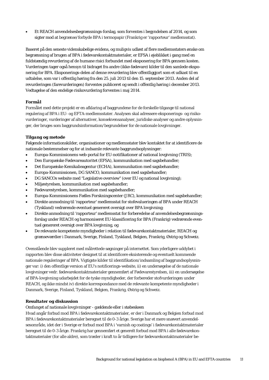• Et REACH anvendelsesbegrænsnings-forslag, som forventes i begyndelsen af 2014, og som sigter mod at begrænse/forbyde BPA i termopapir (Frankrig er 'rapporteur' medlemsstat).

Baseret på den seneste videnskabelige evidens, og muligvis udløst af flere medlemsstaters ønske om begrænsning af brugen af BPA i fødevarekontaktmaterialer, er EFSA i øjeblikket i gang med en fuldstændig revurdering af de humane risici forbundet med eksponering for BPA gennem kosten. Vurderingen tager også hensyn til bidraget fra andre (ikke-fødevare) kilder til den samlede eksponering for BPA. Eksponerings-delen af denne revurdering blev offentliggjort som et udkast til en udtalelse, som var i offentlig høring fra den 25. juli 2013 til den 15. september 2013. Anden del af revurderingen (farevurderingen) forventes publiceret og sendt i offentlig høring i december 2013. Vedtagelse af den endelige risikovurdering forventes i maj 2014.

### *Formål*

Formålet med dette projekt er en afklaring af baggrundene for de forskelle tilgange til national regulering af BPA i EU- og EFTA-medlemsstater. Analysen skal adressere eksponerings- og risikovurderinger, vurderinger af alternativer, konsekvensanalyser, juridiske analyser og andre oplysninger, der bruges som baggrundsinformation/begrundelser for de nationale lovgivninger.

### *Tilgang og metode*

Følgende informationskilder, organisationer og medlemsstater blev kontaktet for at identificere de nationale bestemmelser og for at indsamle relevante baggrundsoplysninger:

- Europa-Kommissionens web-portal for EU-notifikationer af national lovgivning (TRIS);
- Den Europæiske Fødevareautoritet (EFSA), kommunikation med sagsbehandler;
- Det Europæiske Kemikalieagentur (ECHA), kommunikation med sagsbehandler;
- Europa-Kommissionen, DG SANCO, kommunikation med sagsbehandler;
- DG SANCOs website med "Legislative overview" (over EU og national lovgivning);
- Miljøstyrelsen, kommunikation med sagsbehandler;
- Fødevarestyrelsen, kommunikation med sagsbehandler;
- Europa-Kommissionens Fælles Forskningscenter (JRC), kommunikation med sagsbehandler;
- Direkte anmodning til 'rapporteur' medlemsstat for stofevalueringen af BPA under REACH (Tyskland) vedrørende eventuel genereret oversigt over BPA lovgivning;
- Direkte anmodning til 'rapporteur' medlemsstat for forberedelse af anvendelsesbegrænsningsforslag under REACH og harmoniseret EU-klassificering for BPA (Frankrig) vedrørende eventuel genereret oversigt over BPA lovgivning, og
- De relevante kompetente myndigheder i relation til fødevarekontaktmaterialer, REACH og grænseværdier i Danmark, Sverige, Finland, Tyskland, Belgien, Frankrig, Østrig og Schweiz.

Ovenstående blev suppleret med målrettede søgninger på internettet. Som yderligere uddybet i rapporten blev disse aktiviteter designet til at identificere eksisterende og eventuelt kommende nationale reguleringer af BPA. Vigtigste kilder til identifikation/indsamling af baggrundsoplysninger var: i) den offentlige version af EU's notificerings-website, ii) en undersøgelse af de nationale lovgivninger vedr. fødevarekontaktmaterialer gennemført af Fødevarestyrelsen, iii) en undersøgelse af BPA-lovgivning udarbejdet for de tyske myndigheder, der forbereder stofvurderingen under REACH, og ikke mindst iv) direkte korrespondance med de relevante kompetente myndigheder i Danmark, Sverige, Finland, Tyskland, Belgien, Frankrig, Østrig og Schweiz.

### *Resultater og diskussion*

### *Omfanget af nationale lovgivninger - gældende eller i støbeskeen*

Hvad angår forbud mod BPA i fødevarekontaktmaterialer, er der i Danmark og Belgien forbud mod BPA i fødevarekontaktmaterialer beregnet til de 0-3 årige. Sverige har et mere snævert anvendelsesområde, idet der i Sverige er forbud mod BPA i 'varnish og coatings' i fødevarekontaktmaterialer beregnet til de 0-3 årige. Frankrig har gennemført et generelt forbud mod BPA i alle fødevarekontaktmaterialer (for alle aldre), som træder i kraft to år tidligere for fødevarekontaktmaterialer be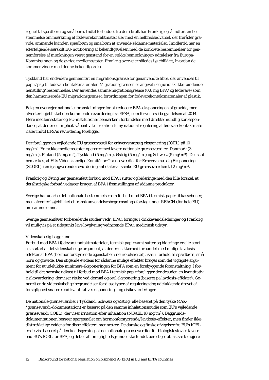regnet til spædbørn og små børn. Indtil forbuddet træder i kraft har Frankrig også indført en bestemmelse om mærkning af fødevarekontaktmaterialer med en helbredsadvarsel, der fraråder gravide, ammende kvinder, spædbørn og små børn at anvende sådanne materialer. Imidlertid har en efterfølgende særskilt EU-notificering af bekendtgørelsen med de konkrete bestemmelser for gennemførelse af mærkningen været genstand for en række bemærkninger/udtalelser fra Europa-Kommissionen og de øvrige medlemsstater. Frankrig overvejer således i øjeblikket, hvordan de kommer videre med denne bekendtgørelse.

Tyskland har endvidere gennemført en migrationsgrænse for genanvendte fibre, der anvendes til papir/pap til fødevarekontaktmaterialer. Migrationsgrænsen er angivet i en juridisk ikke-bindende henstilling/bestemmelse. Der anvendes samme migrationsgrænse (0,6 mg BPA/kg fødevare) som den harmoniserede EU migrationsgrænse i forordningen for fødevarekontaktmaterialer af plastik.

Belgien overvejer nationale foranstaltninger for at reducere BPA-eksponeringen af gravide, men afventer i øjeblikket den kommende revurdering fra EFSA, som forventes i begyndelsen af 2014. Flere medlemsstater og EU-institutioner bemærker i forbindelse med direkte mundlig korrespondance, at der er en implicit 'våbenhvile' i relation til ny national regulering af fødevarekontaktmaterialer indtil EFSAs revurdering foreligger.

Der foreligger en vejledende EU grænseværdi for erhvervsmæssig eksponering (IOEL) på 10 mg/m3. En række medlemsstater opererer med lavere nationale grænseværdier: Danmark (3 mg/m3), Finland (5 mg/m3), Tyskland (5 mg/m3), Østrig (5 mg/m3) og Schweiz (5 mg/m3). Det skal bemærkes, at EUs Videnskabelige Komité for Grænseværdier for Erhvervsmæssig Eksponering (SCOEL) i en igangværende revurdering anbefaler at sænke EU grænseværdien til 2 mg/m3.

Frankrig og Østrig har gennemført forbud mod BPA i sutter og bideringe med den lille forskel, at det Østrigske forbud vedrører brugen af BPA i fremstillingen af sådanne produkter.

Sverige har udarbejdet nationale bestemmelser om forbud mod BPA i termisk papir til kasseboner, men afventer i øjeblikket et fransk anvendelsesbegrænsnings-forslag under REACH (for hele EU) om samme emne.

Sverige gennemfører forberedende studier vedr. BPA i foringer i drikkevandsledninger og Frankrig vil muligvis på et tidspunkt lave lovgivning vedrørende BPA i medicinsk udstyr.

#### *Videnskabelig baggrund*

Forbud mod BPA i fødevarekontaktmaterialer, termisk papir samt sutter og bideringe er alle stort set støttet af det videnskabelige argument, at der er usikkerhed forbundet med mulige lavdosiseffekter af BPA (hormonforstyrrende egenskaber /neurotoksicitet), især i forhold til spædbørn, små børn og gravide. Den stigende evidens for sådanne mulige effekter bruges som det vigtigste argument for at udelukke/minimere eksponeringen for BPA som en forebyggende foranstaltning. I forhold til det svenske udkast til forbud mod BPA i termisk papir foreligger der desuden en kvantitativ risikovurdering, der viser risiko ved dermal og oral eksponering (baseret på lavdosis-effekter). Generelt er de videnskabelige begrundelser for disse typer af regulering dog udelukkende drevet af forsigtighed snarere end kvantitative eksponerings- og risikovurderinger.

De nationale grænseværdier i Tyskland, Schweiz og Østrig (alle baseret på den tyske MAK- /grænseværdi-dokumentation) er baseret på den samme inhalationsstudie som EU's vejledende grænseværdi (IOEL), der viser irritation efter inhalation (NOAEL 10 mg/m3). Baggrundsdokumentationen berører spørgsmålet om hormonforstyrrende/lavdosis-effekter, men finder ikke tilstrækkelige evidens for disse effekter i mennesker. De danske og finske afvigelser fra EU's IOEL er delvist baseret på den kendsgerning, at de nationale grænseværdier for biologisk støv er lavere end EU's IOEL for BPA, og det er af forsigtighedsgrunde ikke fundet berettiget at fastsætte højere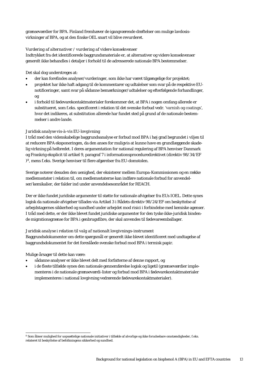grænseværdier for BPA. Finland fremhæver de igangværende drøftelser om mulige lavdosisvirkninger af BPA, og at den finske OEL snart vil blive revurderet.

### *Vurdering af alternativer / vurdering af videre konsekvenser*

Indtrykket fra det identificerede baggrundsmateriale er, at alternativer og videre konsekvenser generelt ikke behandles i detaljer i forhold til de adresserede nationale BPA bestemmelser.

Det skal dog understreges at:

- der kan forefindes analyser/vurderinger, som ikke har været tilgængelige for projektet;
- projektet har ikke haft adgang til de kommentarer og udtalelser som svar på de respektive EUnotificeringer, samt svar på sådanne bemærkninger/udtalelser og efterfølgende forhandlinger, og
- i forhold til fødevarekontaktmaterialer forekommer det, at BPA i nogen omfang allerede er substitueret, som f.eks. specificeret i relation til det svenske forbud vedr. 'varnish og coatings', hvor det indikeres, at substitution allerede har fundet sted på grund af de nationale bestemmelser i andre lande.

### *Juridisk analyse vis-à-vis EU-lovgivning*

I tråd med den videnskabelige baggrundsanalyse er forbud mod BPA i høj grad begrundet i viljen til at reducere BPA eksponeringen, da den anses for muligvis at kunne have en grundlæggende skadelig virkning på helbredet. I deres argumentation for national regulering af BPA henviser Danmark og Frankrig eksplicit til artikel 9, paragraf 7 i informationsproceduredirektivet (direktiv 98/34/EF [\)8](#page-8-0), mens f.eks. Sverige henviser til flere afgørelser fra EU-domstolen.

Sverige noterer desuden den uenighed, der eksisterer mellem Europa-Kommissionen og en række medlemsstater i relation til, om medlemsstaterne kan indføre nationale forbud for anvendelser/kemikalier, der falder ind under anvendelsesområdet for REACH.

Der er ikke fundet juridiske argumenter til støtte for nationale afvigelser fra EUs IOEL. Dette synes logisk da nationale afvigelser tillades via Artikel 3 i Rådets direktiv 98/24/EF om beskyttelse af arbejdstagernes sikkerhed og sundhed under arbejdet mod risici i forbindelse med kemiske agenser. I tråd med dette, er der ikke blevet fundet juridiske argumenter for den tyske ikke-juridisk bindende migrationsgrænse for BPA i genbrugsfibre, der skal anvendes til fødevareemballager.

### *Juridisk analyse i relation til valg af nationalt lovgivnings-instrument*

Baggrundsdokumenter om dette spørgsmål er generelt ikke blevet identificeret med undtagelse af baggrundsdokumentet for det foreslåede svenske forbud mod BPA i termisk papir.

Mulige årsager til dette kan være:

- sådanne analyser er ikke blevet delt med forfatterne af denne rapport, og
- i de fleste tilfælde synes den nationale gennemførelse logisk og ligetil (grænseværdier implementeres i de nationale grænseværdi-lister og forbud mod BPA i fødevarekontaktmaterialer implementeres i national lovgivning vedrørende fødevarekontaktmaterialer).

<span id="page-12-0"></span> <sup>8</sup> Som åbner mulighed for uopsættelige nationale initiativer i tilfælde af alvorlige og ikke forudsebare omstændigheder, f.eks. relateret til beskyttelse af befolkningens sikkerhed og sundhed.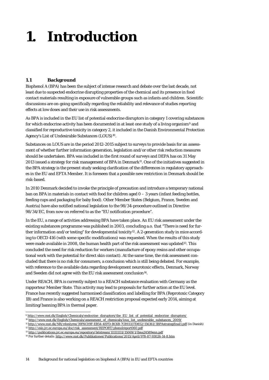# <span id="page-13-0"></span>**1. Introduction**

## <span id="page-13-1"></span>**1.1 Background**

Bisphenol A (BPA) has been the subject of intense research and debate over the last decade, not least due to suspected endocrine disrupting properties of the chemical and its presence in food contact materials resulting in exposure of vulnerable groups such as infants and children. Scientific discussions are on-going specifically regarding the reliability and relevance of studies reporting effects at low doses and their use in risk assessments.

As BPA is included in the EU list of potential endocrine disruptors in category 1 covering substances for which endocrine activity has been documented in at least one study of a living organism<sup>[9](#page-12-0)</sup> and classified for reproductive toxicity in category 2, it included in [the Danish Environmental Protection](http://www.mst.dk/Virksomhed_og_myndighed/Kemikalier/Stoflister+og+databaser/listen_over_uoenskede_stoffer/listen_over_uoenskede_stoffer.htm)  [Agency's List of Undesirable Substances](http://www.mst.dk/Virksomhed_og_myndighed/Kemikalier/Stoflister+og+databaser/listen_over_uoenskede_stoffer/listen_over_uoenskede_stoffer.htm) (LOUS)<sup>[10](#page-13-3)</sup>.

Substances on LOUS are in the period 2012-2015 subject to surveys to provide basis for an assessment of whether further information generation, legislation and/or other risk reduction measures should be undertaken. BPA was included in the first round of surveys and DEPA has on 31 May 2013 issued a strategy for risk management of BPA in Denmark<sup>11</sup>. One of the initiatives suggested in the BPA strategy is the present study seeking clarification of the differences in regulatory approaches in the EU and EFTA Member. It is foreseen that a possible new restriction in Denmark should be risk-based.

In 2010 Denmark decided to invoke the principle of precaution and introduce a temporary national ban on BPA in materials in contact with food for children aged 0 – 3 years (infant feeding bottles, feeding cups and packaging for baby food). Other Member States (Belgium, France, Sweden and Austria) have also notified national legislation to the 98/34-procedure outlined in Directive 98/34/EC, from now on referred to as the "EU notification procedure".

In the EU, a range of activities addressing BPA have taken place. An EU risk assessment under the existing substances programme was published in 2003, concluding a.o. that "There is need for fur-ther information and/or testing" for developmental toxicity<sup>[12](#page-13-5)</sup>. A 2-generation study in mice according to OECD 416 (with some specific modifications) was requested. When the results of this study were made available in 2008, the human health part of the risk assessment was updated<sup>[13](#page-13-6)</sup>. This concluded the need for risk reduction for workers (manufacture of epoxy resins and other occupational work with the potential for direct skin contact). At the same time, the risk assessment concluded that there is no risk for consumers, a conclusion which is still being debated. For example, with reference to the available data regarding development neurotoxic effects, Denmark, Norway and Sweden did not agree with the EU risk assessment conclusion<sup>[14](#page-13-2)</sup>.

<span id="page-13-7"></span>Under REACH, BPA is currently subject to a REACH substance evaluation with Germany as the rapporteur Member State. This activity may lead to proposals for further action at the EU level. France has recently suggested harmonised classification and labelling for BPA (Reprotoxic Category 1B) and France is also working on a REACH restriction proposal expected early 2014, aiming at limiting/banning BPA in thermal paper.

 <sup>9</sup> [http://www.mst.dk/English/Chemicals/endocrine\\_disruptors/the\\_EU\\_list\\_of\\_potential\\_endocrine\\_disruptors/](http://www.mst.dk/English/Chemicals/endocrine_disruptors/the_EU_list_of_potential_endocrine_disruptors/)

<span id="page-13-3"></span><sup>10</sup> [http://www.mst.dk/English/Chemicals/assessment\\_of\\_chemicals/lous\\_list\\_undesirable\\_substances\\_2009/](http://www.mst.dk/English/Chemicals/assessment_of_chemicals/lous_list_undesirable_substances_2009/)

<span id="page-13-4"></span><sup>11</sup> <http://www.mst.dk/NR/rdonlyres/39F6C09F-EB54-4EFD-BC6B-7C893337D852/156361/3BPAstrategifinal1.pdf> (in Danish)

<sup>12</sup> [http://esis.jrc.ec.europa.eu/doc/risk\\_assessment/REPORT/phenolreport060.pdf](http://esis.jrc.ec.europa.eu/doc/risk_assessment/REPORT/phenolreport060.pdf)

<span id="page-13-6"></span><span id="page-13-5"></span><sup>13</sup> <http://publications.jrc.ec.europa.eu/repository/bitstream/111111111/15069/1/lbna24589enn.pdf>

<span id="page-13-2"></span><sup>14</sup> For further details[: http://www.mst.dk/Publikationer/Publications/2013/April/978-87-93026-14-8.htm](http://www.mst.dk/Publikationer/Publications/2013/April/978-87-93026-14-8.htm)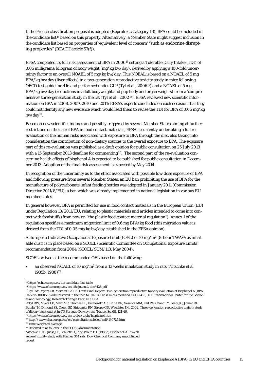If the French classification proposal is adopted (Reprotoxic Category 1B), BPA could be included in the candidate list<sup>[15](#page-13-7)</sup> based on this property. Alternatively, a Member State might suggest inclusion in the candidate list based on properties of 'equivalent level of concern' "such as endocrine disrupting properties" (REACH article 57(f)).

EFSA completed its full risk assessment of BPA in 2006[16](#page-14-0) setting a Tolerable Daily Intake (TDI) of 0.05 milligrams/kilogram of body weight (mg/kg bw/day), derived by applying a 100-fold uncertainty factor to an overall NOAEL of 5 mg/kg bw/day. This NOEAL is based on a NOAEL of 5 mg BPA/kg bw/day (liver effects) in a two-generation reproductive toxicity study in mice following OECD test guideline 416 and performed under GLP (Tyl et al., 2006<sup>17</sup>) and a NOAEL of 5 mg BPA/kg bw/day (reductions in adult bodyweight and pup body and organ weights) from a 'compre-hensive' three-generation study in the rat (Tyl et al., 2002<sup>[18](#page-14-2)</sup>). EFSA reviewed new scientific information on BPA in 2008, 2009, 2010 and 2011: EFSA's experts concluded on each occasion that they could not identify any new evidence which would lead them to revise the TDI for BPA of 0.05 mg/kg bw/day[19](#page-14-3).

Based on new scientific findings and possibly triggered by several Member States aiming at further restrictions on the use of BPA in food contact materials, EFSA is currently undertaking a full reevaluation of the human risks associated with exposure to BPA through the diet, also taking into consideration the contribution of non-dietary sources to the overall exposure to BPA. The exposure part of this re-evaluation was published as a draft opinion for public consultation on 25 July 2013 with a 15 September [20](#page-14-4)13 deadline for commenting<sup>20</sup>. The second part of the re-evaluation concerning health effects of bisphenol A is expected to be published for public consultation in December 2013. Adoption of the final risk assessment is expected by May 2014.

In recognition of the uncertainty as to the effect associated with possible low-dose exposure of BPA and following pressure from several Member States, an EU ban prohibiting the use of BPA for the manufacture of polycarbonate infant feeding bottles was adopted in January 2011 (Commission Directive 2011/8/EU); a ban which was already implemented in national legislation in various EU member states.

In general however, BPA is permitted for use in food contact materials in the European Union (EU) under Regulation 10/2011/EU, relating to plastic materials and articles intended to come into contact with foodstuffs (from now on "the plastic food contact material regulation"). Annex 1 of the regulation specifies a maximum migration limit of 0.6 mg BPA/kg food (this migration value is derived from the TDI of 0.05 mg/kg bw/day established in the EFSA opinion).

A European Indicative Occupational Exposure Limit (IOEL) of 10 mg/m3 (8-hour TWA[21;](#page-14-5) as inhalable dust) is in place based on a SCOEL (Scientific Committee on Occupational Exposure Limits) recommendation from 2004 (SCOEL/SUM/113, May 2004).

SCOEL arrived at the recommended OEL based on the foll0wing:

an observed NOAEL of 10 mg/m<sup>3</sup> from a 13 weeks inhalation study in rats (Nitschke et al 1985b, 1988)<sup>[22](#page-14-6)</sup>

 <sup>15</sup> http://echa.europa.eu/da/candidate-list-table

<sup>16</sup> http://www.efsa.europa.eu/en/efsajournal/doc/428.pdf

<span id="page-14-1"></span><span id="page-14-0"></span><sup>17</sup> Tyl RW, Myers CB, Marr MC. 2006. Draft Final Report: Two-generation reproductive toxicity evaluation of Bisphenol A (BPA; CAS No. 80-05-7) administered in the feed to CD-1® Swiss mice (modified OECD 416). RTI International Center for life Sciences and Toxicology, Research Triangle Park, NC, USA.

<span id="page-14-2"></span><sup>18</sup> Tyl RW, Myers CB, Marr MC, Thomas BF, Keimowitz AR, Brine DR, Veselica MM, Fail PA, Chang TY, Seely JC, Joiner RL, Butala JH, Dimond SS, Cagen SZ, Shiotsuka RN, Stropp GD, Waechter JM. 2002. Three-generation reproductive toxicity study of dietary bisphenol A in CD Sprague-Dawley rats. Toxicol Sci 68, 121-46. <sup>19</sup> http://www.efsa.europa.eu/en/topics/topic/bisphenol.htm

<span id="page-14-4"></span><span id="page-14-3"></span> $^{\rm 20}\,$  http://www.efsa.europa.eu/en/consultations<br>closed/call/130725.htm

<span id="page-14-5"></span><sup>&</sup>lt;sup>21</sup> Time Weighted Average

<span id="page-14-6"></span><sup>22</sup> Referred to as follows in the SCOEL documentation:

Nitschke K.D, Quast J.F, Schuetz D.J and Wolfe E.L (1985b) Bisphenol-A: 2 week

aerosol toxicity study with Fischer 344 rats. Dow Chemical Company unpublished

report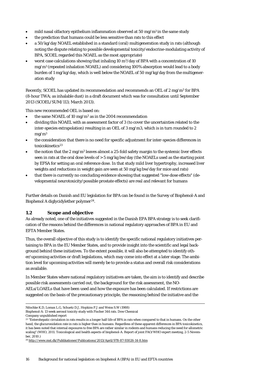- mild nasal olfactory epithelium inflammation observed at 50 mg/m<sup>3</sup> in the same study
- the prediction that humans could be less sensitive than rats to this effect
- a 50/kg/day NOAEL established in a standard (oral) multigeneration study in rats (although noting the dispute relating to possible developmental toxicity/endocrine-modulating activity of BPA, SCOEL regarded this NOAEL as the most appropriate)
- worst case calculations showing that inhaling 10  $\text{m}^3/\text{day}$  of BPA with a concentration of 10 mg/m3 (repeated inhalation NOAEL) and considering 100% absorption would lead to a body burden of 1 mg/kg/day, which is well below the NOAEL of 50 mg/kg/day from the multigeneration study

Recently, SCOEL has updated its recommendation and recommends an OEL of 2 mg/m3 for BPA (8-hour TWA; as inhalable dust) in a draft document which was for consultation until September 2013 (SCOEL/SUM/113; March 2013).

This new recommended OEL is based on:

- the same NOAEL of 10 mg/m<sup>3</sup> as in the 2004 recommendation
- dividing this NOAEL with as assessment factor of 3 (to cover the uncertainties related to the inter-species extrapolation) resulting in an OEL of 3 mg/m3, which is in turn rounded to 2  $mg/m<sup>3</sup>$
- the consideration that there is no need for specific adjustment for inter-species differences in toxicokinetics<sup>[23](#page-14-4)</sup>
- the notion that the 2 mg/m<sup>3</sup> leaves almost a 25-fold safety margin to the systemic liver effects seen in rats at the oral dose levels of > 5 mg/kg bw/day (the NOAELs used as the starting point by EFSA for setting an oral reference dose. In that study mild liver hypertrophy, increased liver weights and reductions in weight gain are seen at 50 mg/kg bw/day for mice and rats)
- that there is currently no concluding evidence showing that suggested "low-dose effects" (developmental neurotoxicity/possible prostate effects) are real and relevant for humans

Further details on Danish and EU legislation for BPA can be found in the Survey of Bisphenol-A and Bisphenol A diglycidylether polymer<sup>[24](#page-15-1)</sup>.

### <span id="page-15-0"></span>**1.2 Scope and objective**

As already noted, one of the initiatives suggested in the Danish EPA BPA strategy is to seek clarification of the reasons behind the differences in national regulatory approaches of BPA in EU and EFTA Member States.

Thus, the overall objective of this study is to identify the specific national regulatory initiatives pertaining to BPA in the EU Member States, and to provide insight into the scientific and legal background behind these initiatives. To the extent possible, it will also be attempted to identify other/upcoming activities or draft legislations, which may come into effect at a later stage. The ambition level for upcoming activities will merely be to provide a status and overall risk considerations as available.

In Member States where national regulatory initiatives are taken, the aim is to identify and describe possible risk assessments carried out, the background for the risk assessment, the NO-AELs/LOAELs that have been used and how the exposure has been calculated. If restrictions are suggested on the basis of the precautionary principle, the reasoning behind the initiative and the

Nitschke K.D, Lomax L.G, Schuetz D.J, Hopkins P.J and Weiss S.W (1988)

Company unpublished report

Bisphenol-A: 13 week aerosol toxicity study with Fischer 344 rats. Dow Chemical

<sup>&</sup>lt;sup>23</sup> "Enterohepatic circulation in rats results in a longer half-life of BPA in rats when compared to that in humans. On the other hand, the glucuronidation rate in rats is higher than in humans. Regardless of these apparent differences in BPA toxicokinetics, it has been noted that internal exposures to free BPA are rather similar in rodents and humans reducing the need for allometric scaling" (WHO, 2011. Toxicological and health aspects of bisphenol-A. Report of joint FAO/WHO expert meeting, 2-5 November, 2010.)

<span id="page-15-2"></span><span id="page-15-1"></span><sup>24</sup> http://www.mst.dk/Publikationer/Publications/2013/April/978-87-93026-14-8.htm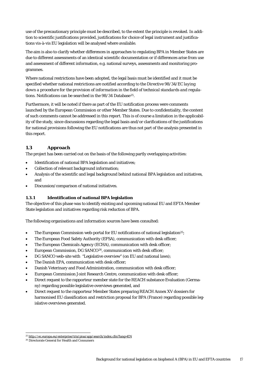use of the precautionary principle must be described, to the extent the principle is revoked. In addition to scientific justifications provided, justifications for choice of legal instrument and justifications vis-à-vis EU legislation will be analysed where available.

The aim is also to clarify whether differences in approaches to regulating BPA in Member States are due to different assessments of an identical scientific documentation or if differences arise from use and assessment of different information, e.g. national surveys, assessments and monitoring programmes.

Where national restrictions have been adopted, the legal basis must be identified and it must be specified whether national restrictions are notified according to the *Directive 98/34/EC laying down a procedure for the provision of information in the field of technical standards and regulations*. Notifications can be searched in the 98/34 Database<sup>25</sup>.

<span id="page-16-2"></span>Furthermore, it will be noted if there as part of the EU notification process were comments launched by the European Commission or other Member States. Due to confidentiality, the content of such comments cannot be addressed in this report. This is of course a limitation in the applicability of the study, since discussions regarding the legal basis and/or clarifications of the justifications for national provisions following the EU notifications are thus not part of the analysis presented in this report.

## <span id="page-16-0"></span>**1.3 Approach**

The project has been carried out on the basis of the following partly overlapping activities:

- Identification of national BPA legislation and initiatives;
- Collection of relevant background information;
- Analysis of the scientific and legal background behind national BPA legislation and initiatives, and
- Discussion/comparison of national initiatives.

### <span id="page-16-1"></span>**1.3.1 Identification of national BPA legislation**

The objective of this phase was to identify existing and upcoming national EU and EFTA Member State legislation and initiatives regarding risk reduction of BPA.

The following organisations and information sources have been consulted:

- The European Commission web-portal for EU notifications of national legislation<sup>25</sup>;
- The European Food Safety Authority (EFSA), communication with desk officer;
- The European Chemicals Agency (ECHA), communication with desk officer;
- European Commission, DG SANCO[26](#page-16-3), communication with desk officer;
- DG SANCO web-site with "Legislative overview" (on EU and national laws);
- The Danish EPA, communication with desk officer;
- Danish Veterinary and Food Administration, communication with desk officer;
- European Commission Joint Research Centre, communication with desk officer;
- Direct request to the rapporteur member state for the REACH substance Evaluation (Germany) regarding possible legislative overviews generated, and
- Direct request to the rapporteur Member States preparing REACH Annex XV dossiers for harmonised EU classification and restriction proposal for BPA (France) regarding possible legislative overviews generated.

<span id="page-16-4"></span> <sup>25</sup> <http://ec.europa.eu/enterprise/tris/pisa/app/search/index.cfm?lang=EN>

<span id="page-16-3"></span><sup>26</sup> Directorate General for Health and Consumers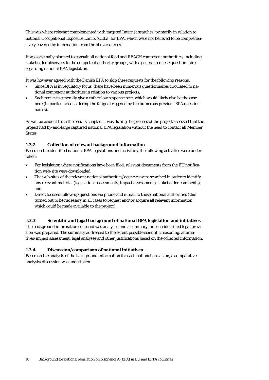This was where relevant complemented with targeted Internet searches, primarily in relation to national Occupational Exposure Limits (OELs) for BPA, which were not believed to be comprehensively covered by information from the above sources.

It was originally planned to consult all national food and REACH competent authorities, including stakeholder observers to the competent authority groups, with a general request/questionnaire regarding national BPA legislation.

It was however agreed with the Danish EPA to skip these requests for the following reasons:

- Since BPA is in regulatory focus, there have been numerous questionnaires circulated to national competent authorities in relation to various projects;
- Such requests generally give a rather low response rate, which would likely also be the case here (in particular considering the fatigue triggered by the numerous previous BPA questionnaires).

As will be evident from the results chapter, it was during the process of the project assessed that the project had by-and-large captured national BPA legislation without the need to contact all Member States.

### <span id="page-17-0"></span>**1.3.2 Collection of relevant background information**

Based on the identified national BPA legislations and activities, the following activities were undertaken:

- For legislation where notifications have been filed, relevant documents from the EU notification web-site were downloaded;
- The web-sites of the relevant national authorities/agencies were searched in order to identify any relevant material (legislation, assessments, impact assessments, stakeholder comments), and
- Direct focused follow-up questions via phone and e-mail to these national authorities (this turned out to be necessary in all cases to request and/or acquire all relevant information, which could be made available to the project).

### <span id="page-17-1"></span>**1.3.3 Scientific and legal background of national BPA legislation and initiatives**

The background information collected was analysed and a summary for each identified legal provision was prepared. The summary addressed to the extent possible scientific reasoning, alternatives/impact assessment, legal analyses and other justifications based on the collected information.

### <span id="page-17-2"></span>**1.3.4 Discussion/comparison of national initiatives**

Based on the analysis of the background information for each national provision, a comparative analysis/discussion was undertaken.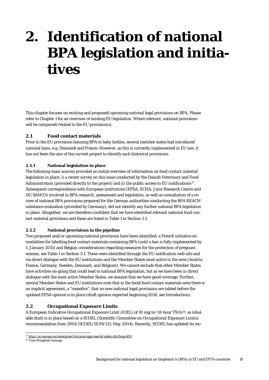## <span id="page-18-0"></span>**2. Identification of national BPA legislation and initiatives**

This chapter focuses on existing and proposed/upcoming national legal provisions on BPA. Please refer to Chapter [1](#page-13-0) for an overview of existing EU legislation. Where relevant, national provisions will be compared/related to the EU provision(s).

### <span id="page-18-1"></span>**2.1 Food contact materials**

Prior to the EU provisions banning BPA in baby bottles, several member states had introduced national bans, e.g. Denmark and France. However, as this is currently implemented in EU law, it has not been the aim of the current project to identify such historical provisions.

### <span id="page-18-2"></span>**2.1.1 National legislation in place**

The following main sources provided an initial overview of information on food contact material legislation in place: i) a recent survey on this issue conducted by the Danish Veterinary and Food Administration (provided directly to the project) and ii) the public access to EU notifications<sup>27</sup>. Subsequent correspondence with European institutions (EFSA, ECHA, Joint Research Centre and DG SANCO) involved in BPA research, assessment and legislation, as well as consultation of a review of national BPA provisions prepared for the German authorities conducting the BPA REACH substance evaluation (provided by Germany), did not identify any further national BPA legislation in place. Altogether, we are therefore confident that we have identified relevant national food contact material provisions and these are listed in [Table 1](#page-20-2) in Section [3.1.](#page-20-1)

### <span id="page-18-3"></span>**2.1.2 National provisions in the pipeline**

Two proposed and/or upcoming national provisions have been identified; a French initiative on modalities for labelling food contact materials containing BPA (until a ban is fully implemented by 1. January 2015) and Belgian considerations regarding measures for the protection of pregnant women, see [Table 1](#page-20-2) in Section [3.1.](#page-20-1) These were identified through the EU notification web-site and via direct dialogue with the EU institutions and the Member States most active in the area (Austria, France, Germany, Sweden, Denmark, and Belgium). We cannot exclude that other Member States have activities on-going that could lead to national BPA legislation, but as we have been in direct dialogue with the most active Member States, we assume that we have good coverage. Further, several Member States and EU institutions note that in the food/food contact materials area there is an implicit agreement, a "ceasefire", that no new national legal provisions are tabled before the updated EFSA opinion is in place (draft opinion expected beginning 2014, see Introduction).

### <span id="page-18-4"></span>**2.2 Occupational Exposure Limits**

A European Indicative Occupational Exposure Limit (IOEL) of 10 mg/m<sup>3</sup> (8-hour TWA<sup>28</sup>; as inhalable dust) is in place based on a SCOEL (Scientific Committee on Occupational Exposure Limits) recommendation from 2004 (SCOEL/SUM/113, May 2004). Recently, SCOEL has updated its rec-

<span id="page-18-6"></span> <sup>27</sup> <http://ec.europa.eu/enterprise/tris/pisa/app/search/index.cfm?lang=EN>

<span id="page-18-5"></span><sup>28</sup> Time Weighted Average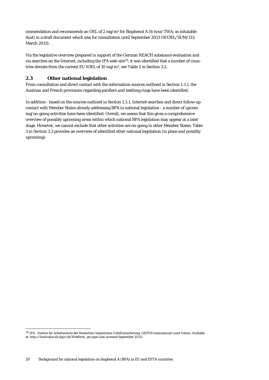ommendation and recommends an OEL of 2 mg/m3 for Bisphenol A (8-hour TWA; as inhalable dust) in a draft document which was for consultation until September 2013 (SCOEL/SUM/113; March 2013).

Via the legislative overview prepared in support of the German REACH substance evaluation and via searches on the Internet, including the IFA web-site<sup>[29](#page-18-6)</sup>, it was identified that a number of countries deviate from the current EU IOEL of 10 mg/m3, se[e Table 2](#page-24-1) in Section [3.2.](#page-24-0)

### <span id="page-19-0"></span>**2.3 Other national legislation**

From consultation and direct contact with the information sources outlined in Section [1.3.1,](#page-16-1) the Austrian and French provisions regarding pacifiers and teething rings have been identified.

In addition - based on the sources outlined in Section [1.3.1,](#page-16-1) Internet searches and direct follow-up contact with Member States already addressing BPA in national legislation - a number of upcoming/on-going activities have been identified. Overall, we assess that this gives a comprehensive overview of possibly upcoming areas within which national BPA legislation may appear at a later stage. However, we cannot exclude that other activities are on-going in other Member States. [Table](#page-26-1)  [3](#page-26-1) in Sectio[n 3.3](#page-26-0) provides an overview of identified other national legislation (in place and possibly upcoming).

<span id="page-19-1"></span> <sup>29</sup> IFA - Institut für Arbeitsschutz der Deutschen Gesetzlichen Unfallversicherung. GESTIS International Limit Values. Available at[: http://limitvalue.ifa.dguv.de/Webform\\_gw.aspx](http://limitvalue.ifa.dguv.de/Webform_gw.aspx) (last accessed September 2013).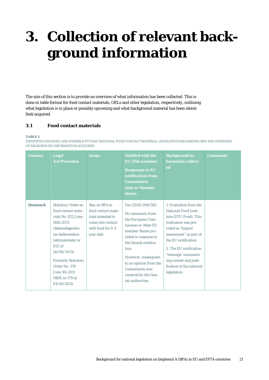# <span id="page-20-0"></span>**3. Collection of relevant background information**

The aim of this section is to provide an overview of what information has been collected. This is done in table format for food contact materials, OELs and other legislation, respectively, outlining what legislation is in place or possibly upcoming and what background material has been identified/acquired.

### <span id="page-20-1"></span>**3.1 Food contact materials**

#### <span id="page-20-2"></span>**TABLE 1**

IDENTIFIED EXISTING AND POSSIBLE FUTURE NATIONAL FOOD CONTACT MATERIAL LEGISLATION REGARDING BPA AND OVERVIEW OF BACKGROUND INFORMATION ACQUIRED

| <b>Country</b> | Legal<br><b>Act/Provision</b>                                                                                                                                                                                                                                         | <b>Scope</b>                                                                                                    | <b>Notified with the</b><br><b>EU</b> (File number)<br><b>Responses to EU</b><br>notification from<br><b>Commission</b><br>and/or Member<br><b>States</b>                                                                                                                          | <b>Background in-</b><br>formation collect-<br>ed                                                                                                                                                                                                                                                | <b>Comments</b> |
|----------------|-----------------------------------------------------------------------------------------------------------------------------------------------------------------------------------------------------------------------------------------------------------------------|-----------------------------------------------------------------------------------------------------------------|------------------------------------------------------------------------------------------------------------------------------------------------------------------------------------------------------------------------------------------------------------------------------------|--------------------------------------------------------------------------------------------------------------------------------------------------------------------------------------------------------------------------------------------------------------------------------------------------|-----------------|
| <b>Denmark</b> | <b>Statutory Order on</b><br>food contact mate-<br>rials No. 822 June<br>26th 2013<br>(Bekendtgørelse<br>om fødevarekon-<br>taktmaterialer nr<br>822 af<br>26/06/2013)<br><b>Formerly Statutory</b><br>Order No. 579<br>June 1th 2011<br>(BEK nr 579 af<br>01/06/2011 | Ban on BPA in<br>food contact mate-<br>rials intended to<br>come into contact<br>with food for 0-3<br>year olds | Yes $(2010/294/DK)$<br>No comments from<br>the European Com-<br>mission or other EU<br>member States pro-<br>vided in response to<br>the Danish notifica-<br>tion.<br>However, subsequent-<br>ly an opinion from the<br>Commission was<br>received by the Dan-<br>ish authorities. | 1. Evaluation from the<br><b>National Food Insti-</b><br>tute (DTU Food). This<br>evaluation was pro-<br>vided as "Impact<br>assessment" as part of<br>the EU notification<br>2. The EU notification<br>"message" summaris-<br>ing context and justi-<br>fication of the national<br>legislation |                 |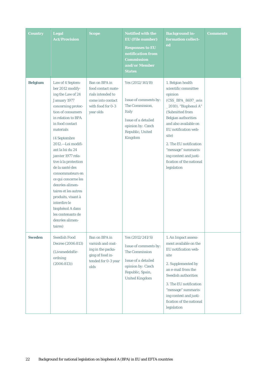| <b>Country</b> | <b>Legal</b><br><b>Act/Provision</b>                                                                                                                                                                                                                                                                                                                                                                                                                                                                    | <b>Scope</b>                                                                                                    | <b>Notified with the</b><br><b>EU</b> (File number)<br><b>Responses to EU</b><br>notification from<br><b>Commission</b><br>and/or Member<br><b>States</b> | <b>Background in-</b><br>formation collect-<br>ed                                                                                                                                                                                                                                                                                    | <b>Comments</b> |
|----------------|---------------------------------------------------------------------------------------------------------------------------------------------------------------------------------------------------------------------------------------------------------------------------------------------------------------------------------------------------------------------------------------------------------------------------------------------------------------------------------------------------------|-----------------------------------------------------------------------------------------------------------------|-----------------------------------------------------------------------------------------------------------------------------------------------------------|--------------------------------------------------------------------------------------------------------------------------------------------------------------------------------------------------------------------------------------------------------------------------------------------------------------------------------------|-----------------|
| <b>Belgium</b> | Law of 4 Septem-<br>ber 2012 modify-<br>ing the Law of 24<br>January 1977<br>concerning protec-<br>tion of consumers<br>in relation to BPA<br>in food contact<br>materials<br>(4 Septembre<br>2012.-Loi modifi-<br>ant la loi du 24<br>janvier 1977 rela-<br>tive à la protection<br>de la santé des<br>consommateurs en<br>ce qui concerne les<br>denrées alimen-<br>taires et les autres<br>produits, visant à<br>interdire le<br>bisphénol A dans<br>les contenants de<br>denrées alimen-<br>taires) | Ban on BPA in<br>food contact mate-<br>rials intended to<br>come into contact<br>with food for 0-3<br>year olds | Yes (2012/141/B)<br>Issue of comments by:<br>The Commission,<br><b>Italy</b><br>Issue of a detailed<br>opinion by: Czech<br>Republic, United<br>Kingdom   | 1. Belgian health<br>scientific committee<br>opinion<br>(CSS_BPA_8697_avis<br>_2010). "Bisphenol A"<br>(Submitted from<br><b>Belgian authorities</b><br>and also available on<br>EU notification web-<br>site)<br>2. The EU notification<br>"message" summaris-<br>ing context and justi-<br>fication of the national<br>legislation |                 |
| <b>Sweden</b>  | <b>Swedish Food</b><br>Decree (2006:813)<br>(Livsmedelsför-<br>ordning<br>(2006:813))                                                                                                                                                                                                                                                                                                                                                                                                                   | Ban on BPA in<br>varnish and coat-<br>ing in the packa-<br>ging of food in-<br>tended for 0-3 year<br>olds      | Yes (2012/241/S)<br>Issue of comments by:<br>The Commission<br>Issue of a detailed<br>opinion by: Czech<br>Republic, Spain,<br><b>United Kingdom</b>      | 1. An Impact assess-<br>ment available on the<br>EU notification web-<br>site<br>2. Supplemented by<br>an e-mail from the<br>Swedish authorities<br>3. The EU notification<br>"message" summaris-<br>ing context and justi-<br>fication of the national<br>legislation                                                               |                 |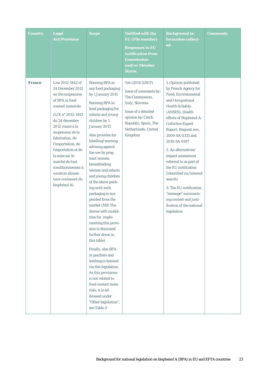| <b>Country</b> | <b>Legal</b><br><b>Act/Provision</b>                                                                                                                                                                                                                                                                                                                               | <b>Scope</b>                                                                                                                                                                                                                                                                                                                                                                                                                                                                                                                                                                                                                                                                                                                                                                                        | <b>Notified with the</b><br><b>EU</b> (File number)<br><b>Responses to EU</b><br>notification from<br><b>Commission</b><br>and/or Member<br><b>States</b>                               | <b>Background in-</b><br>formation collect-<br>ed                                                                                                                                                                                                                                                                                                                                                                                                                                                                     | <b>Comments</b> |
|----------------|--------------------------------------------------------------------------------------------------------------------------------------------------------------------------------------------------------------------------------------------------------------------------------------------------------------------------------------------------------------------|-----------------------------------------------------------------------------------------------------------------------------------------------------------------------------------------------------------------------------------------------------------------------------------------------------------------------------------------------------------------------------------------------------------------------------------------------------------------------------------------------------------------------------------------------------------------------------------------------------------------------------------------------------------------------------------------------------------------------------------------------------------------------------------------------------|-----------------------------------------------------------------------------------------------------------------------------------------------------------------------------------------|-----------------------------------------------------------------------------------------------------------------------------------------------------------------------------------------------------------------------------------------------------------------------------------------------------------------------------------------------------------------------------------------------------------------------------------------------------------------------------------------------------------------------|-----------------|
| <b>France</b>  | Law 2012-1442 of<br>24 December 2012<br>on the suspension<br>of BPA in food<br>contact materials<br>(LOI n° 2012-1442)<br>du 24 décembre<br>2012 visant à la<br>suspension de la<br>fabrication, de<br>l'importation, de<br>l'exportation et de<br>la mise sur le<br>marché de tout<br>conditionnement à<br>vocation alimen-<br>taire contenant du<br>bisphénol A) | <b>Banning BPA</b> in<br>any food packaging<br>by 1 January 2015<br><b>Banning BPA</b> in<br>food packaging for<br>infants and young<br>children by 1.<br>January 2013<br>Also provides for<br>labelling/warning<br>advising against<br>the use by preg-<br>nant women,<br>breastfeeding<br>women and infants<br>and young children<br>of the above pack-<br>ing until such<br>packaging is sus-<br>pended from the<br>market (NB! The<br>decree with modal-<br>ities for imple-<br>menting this provi-<br>sion is discussed<br>further down in<br>this table)<br>Finally, also BPA<br>in pacifiers and<br>teething is banned<br>via this legislation.<br>As this provisions<br>is not related to<br>food contact mate-<br>rials, it is ad-<br>dressed under<br>"Other legislation",<br>see Table 3 | Yes $(2011/529/F)$<br>Issue of comments by:<br>The Commission,<br>Italy, Slovenia<br>Issue of a detailed<br>opinion by: Czech<br>Republic, Spain, The<br>Netherlands, United<br>Kingdom | 1. Opinion published<br>by French Agency for<br>Food, Environmental<br>and Occupational<br><b>Health &amp; Safety</b><br>(ANSES): Health<br>effects of Bisphenol A.<br><b>Collective Expert</b><br>Report. Request nos.<br>2009-SA-0331 and<br>2010-SA-0197<br>2. An alternatives/<br>impact assessment<br>referred to as part of<br>the EU notification<br>(identified via Internet<br>search)<br>3. The EU notification<br>"message" summaris-<br>ing context and justi-<br>fication of the national<br>legislation |                 |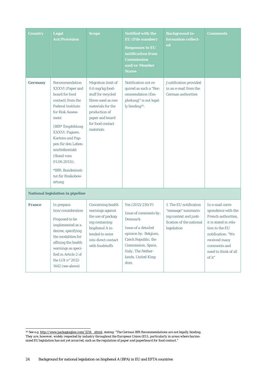| <b>Country</b> | Legal<br><b>Act/Provision</b>                                                                                                                                                                                                                                                                                                      | <b>Scope</b>                                                                                                                                                                             | <b>Notified with the</b><br><b>EU</b> (File number)<br><b>Responses to EU</b><br>notification from<br><b>Commission</b><br>and/or Member<br><b>States</b>                                                     | <b>Background in-</b><br>formation collect-<br>ed                                                                  | <b>Comments</b>                                                                                                                                                                                  |
|----------------|------------------------------------------------------------------------------------------------------------------------------------------------------------------------------------------------------------------------------------------------------------------------------------------------------------------------------------|------------------------------------------------------------------------------------------------------------------------------------------------------------------------------------------|---------------------------------------------------------------------------------------------------------------------------------------------------------------------------------------------------------------|--------------------------------------------------------------------------------------------------------------------|--------------------------------------------------------------------------------------------------------------------------------------------------------------------------------------------------|
| <b>Germany</b> | Recommendation<br><b>XXXVI</b> (Paper and<br>board for food<br>contact) from the<br><b>Federal Institute</b><br>for Risk Assess-<br>ment<br>(BfR* Empfehlung<br>XXXVI. Papiere,<br>Kartons und Pap-<br>pen für den Leben-<br>smittelkontakt<br>(Stand vom<br>$01.06.2013)$ .<br>*BfR: Bundesinsti-<br>tut für Risikobew-<br>ertung | Migration limit of<br>$0.6 \ \mathrm{mg/kg}$ food-<br>stuff for recycled<br>fibres used as raw<br>materials for the<br>production of<br>paper and board<br>for food contact<br>materials | Notification not re-<br>quired as such a "Rec-<br>ommendation (Em-<br>phelung)" is not legal-<br>ly binding <sup>30</sup> .                                                                                   | Justification provided<br>in an e-mail from the<br>German authorities                                              |                                                                                                                                                                                                  |
|                | <b>National legislation in pipeline</b>                                                                                                                                                                                                                                                                                            |                                                                                                                                                                                          |                                                                                                                                                                                                               |                                                                                                                    |                                                                                                                                                                                                  |
| <b>France</b>  | In prepara-<br>tion/consideration<br>Proposed to be<br>implemented as a<br>decree, specifying<br>the modalities for<br>affixing the health<br>warnings as speci-<br>fied in Article 2 of<br>the LOI n° 2012-<br>1442 (see above)                                                                                                   | Concerning health<br>warnings against<br>the use of packag-<br>ing containing<br>bisphenol A in-<br>tended to enter<br>into direct contact<br>with foodstuffs                            | Yes $(2013/230/F)$<br>Issue of comments by:<br><b>Denmark</b><br>Issue of a detailed<br>opinion by: Belgium,<br>Czech Republic, the<br>Commission, Spain,<br>Italy, The Nether-<br>lands, United King-<br>dom | 1. The EU notification<br>"message" summaris-<br>ing context and justi-<br>fication of the national<br>legislation | In e-mail corre-<br>spondence with the<br>French authorities,<br>it is stated in rela-<br>tion to the EU<br>notification: "We<br>received many<br>comments and<br>need to think of all<br>of it" |

<span id="page-23-0"></span> <sup>30</sup> See e.g[. http://www.packaginglaw.com/3214\\_.shtml,](http://www.packaginglaw.com/3214_.shtml) stating: "*The German BfR Recommendations are not legally binding. They are, however, widely respected by industry throughout the European Union (EU), particularly in areas where harmonized EU legislation has not yet occurred, such as the regulation of paper and paperboard for food contact.*"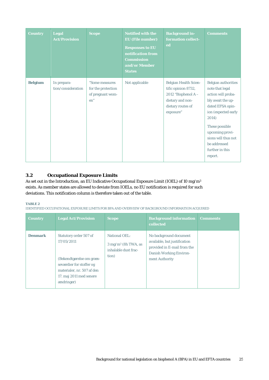| <b>Country</b> | <b>Legal</b><br><b>Act/Provision</b> | <b>Scope</b>                                                     | <b>Notified with the</b><br><b>EU</b> (File number)<br><b>Responses to EU</b><br>notification from<br><b>Commission</b><br>and/or Member<br><b>States</b> | <b>Background in-</b><br>formation collect-<br>ed                                                                                  | <b>Comments</b>                                                                                                                                                                                                                                 |
|----------------|--------------------------------------|------------------------------------------------------------------|-----------------------------------------------------------------------------------------------------------------------------------------------------------|------------------------------------------------------------------------------------------------------------------------------------|-------------------------------------------------------------------------------------------------------------------------------------------------------------------------------------------------------------------------------------------------|
| <b>Belgium</b> | In prepara-<br>tion/consideration    | "Some measures<br>for the protection<br>of pregnant wom-<br>en'' | Not applicable                                                                                                                                            | <b>Belgian Health Scien-</b><br>tific opinion 8732,<br>2012 "Bisphenol $A -$<br>dietary and non-<br>dietary routes of<br>exposure" | Belgian authorities<br>note that legal<br>action will proba-<br>bly await the up-<br>dated EFSA opin-<br>ion (expected early<br>2014)<br>These possible<br>upcoming provi-<br>sions will thus not<br>be addressed<br>further in this<br>report. |

## <span id="page-24-0"></span>**3.2 Occupational Exposure Limits**

As set out in the Introduction, an EU Indicative Occupational Exposure Limit (IOEL) of 10 mg/m<sup>3</sup> exists. As member states are allowed to deviate from IOELs, no EU notification is required for such deviations. This notification column is therefore taken out of the table.

#### <span id="page-24-1"></span>**TABLE 2**

IDENTIFIED OCCUPATIONAL EXPOSURE LIMITS FOR BPA AND OVERVIEW OF BACKGROUND INFORMATION ACQUIRED

| <b>Country</b> | <b>Legal Act/Provision</b>                                                                                                                                                  | <b>Scope</b>                                                                            | <b>Background information</b><br><b>collected</b>                                                                                         | <b>Comments</b> |
|----------------|-----------------------------------------------------------------------------------------------------------------------------------------------------------------------------|-----------------------------------------------------------------------------------------|-------------------------------------------------------------------------------------------------------------------------------------------|-----------------|
| <b>Denmark</b> | Statutory order 507 of<br>17/05/2011<br>(Bekendtgørelse om græn-<br>seværdier for stoffer og<br>materialer, nr. 507 af den<br>17. maj 2011 med senere<br><i>andringer</i> ) | <b>National OEL:</b><br>$3 \text{ mg/m}^3$ (8h TWA, as<br>inhalable dust frac-<br>tion) | No background document<br>available, but justification<br>provided in E-mail from the<br><b>Danish Working Environ-</b><br>ment Authority |                 |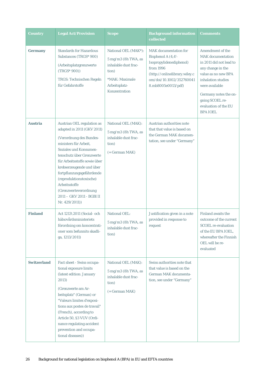| <b>Country</b>     | <b>Legal Act/Provision</b>                                                                                                                                                                                                                                                                                                                                                       | <b>Scope</b>                                                                                                                                           | <b>Background information</b><br>collected                                                                                                                                    | Comments                                                                                                                                                                                                                                                  |
|--------------------|----------------------------------------------------------------------------------------------------------------------------------------------------------------------------------------------------------------------------------------------------------------------------------------------------------------------------------------------------------------------------------|--------------------------------------------------------------------------------------------------------------------------------------------------------|-------------------------------------------------------------------------------------------------------------------------------------------------------------------------------|-----------------------------------------------------------------------------------------------------------------------------------------------------------------------------------------------------------------------------------------------------------|
| <b>Germany</b>     | <b>Standards for Hazardous</b><br>Substances (TRGS* 900)<br>(Arbeitsplatzgrenzwerte<br>$(TRGS*900)$<br>TRGS: Technischen Regeln<br>für Gefahrstoffe                                                                                                                                                                                                                              | National OEL (MAK*):<br>$5 \text{ mg/m}$ $3 \text{ (8h TWA, as)}$<br>inhalable dust frac-<br>tion)<br>*MAK: Maximale<br>Arbeitsplatz-<br>Konzentration | <b>MAK</b> documentation for<br>Bisphenol A (4,4'-<br>Isopropylidenediphenol)<br>from 1996<br>(http://onlinelibrary.wiley.c<br>om/doi/10.1002/352760041<br>8.mb8005e0013/pdf) | <b>Amendment of the</b><br><b>MAK</b> documentation<br>in 2011 did not lead to<br>any change in the<br>value as no new BPA<br>inhalation studies<br>were available<br>Germany notes the on-<br>going SCOEL re-<br>evaluation of the EU<br><b>BPA IOEL</b> |
| <b>Austria</b>     | Austrian OEL regulation as<br>adapted in 2011 (GKV 2011)<br>(Verordnung des Bundes-<br>ministers für Arbeit,<br>Soziales und Konsumen-<br>tenschutz über Grenzwerte<br>für Arbeitsstoffe sowie über<br>krebserzeugende und über<br>fortpflanzungsgefährdende<br>(reproduktionstoxische)<br>Arbeitsstoffe<br>(Grenzwerteverordnung<br>2011 - GKV 2011 - BGBI II<br>Nr. 429/2011)) | National OEL (MAK):<br>$5 \text{ mg/m}$ $3 \text{ (8h TWA, as)}$<br>inhalable dust frac-<br>tion)<br>$( = German MAK)$                                 | Austrian authorities note<br>that that value is based on<br>the German MAK documen-<br>tation, see under "Germany"                                                            |                                                                                                                                                                                                                                                           |
| <b>Finland</b>     | Act 1213\2011 (Social- och<br>hälsovårdsministeriets<br>förordning om koncentrati-<br>oner som befunnits skadli-<br>ga, 1213/2011)                                                                                                                                                                                                                                               | <b>National OEL:</b><br>$5 \text{ mg/m}$ $3 \text{ (8h TWA, as)}$<br>inhalable dust frac-<br>tion)                                                     | Justification given in a note<br>provided in response to<br>request                                                                                                           | <b>Finland awaits the</b><br>outcome of the current<br><b>SCOEL</b> re-evaluation<br>of the EU BPA IOEL,<br>whereafter the Finnish<br>OEL will be re-<br>evaluated                                                                                        |
| <b>Switzerland</b> | Fact sheet - Swiss occupa-<br>tional exposure limits<br>(latest edition: January<br>2013)<br>(Grenzwerte am Ar-<br>beitsplatz" (German) or<br>"Valeurs limites d'exposi-<br>tions aux postes de travail"<br>(French), according to<br>Article 50, §3 VUV (Ordi-<br>nance regulating accident<br>prevention and occupa-<br>tional diseases))                                      | National OEL (MAK):<br>$5$ mg/m $3$ (8h TWA, as<br>inhalable dust frac-<br>tion)<br>$( = German MAX)$                                                  | Swiss authorities note that<br>that value is based on the<br>German MAK documenta-<br>tion, see under "Germany"                                                               |                                                                                                                                                                                                                                                           |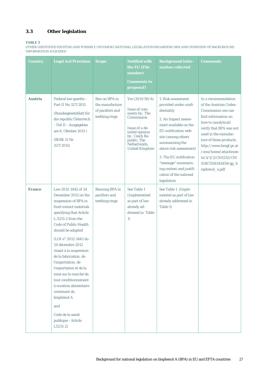## <span id="page-26-0"></span>**3.3 Other legislation**

### <span id="page-26-1"></span>**TABLE 3**

OTHER IDENTIFIED EXISTING AND POSSIBLY UPCOMING NATIONAL LEGSILATION REGARDING BPA AND OVERVIEW OF BACKGROUND INFORMATION ACQUIRED

| <b>Country</b> | <b>Legal Act/Provision</b>                                                                                                                                                                                                                                                                                                                                                                                                                                                                                                | <b>Scope</b>                                                           | <b>Notified with</b><br>the EU (File<br>number)<br><b>Comments to</b><br>proposal?                                                                                             | <b>Background infor-</b><br>mation collected                                                                                                                                                                                                                                                                                | <b>Comments</b>                                                                                                                                                                                                                                                                                                |
|----------------|---------------------------------------------------------------------------------------------------------------------------------------------------------------------------------------------------------------------------------------------------------------------------------------------------------------------------------------------------------------------------------------------------------------------------------------------------------------------------------------------------------------------------|------------------------------------------------------------------------|--------------------------------------------------------------------------------------------------------------------------------------------------------------------------------|-----------------------------------------------------------------------------------------------------------------------------------------------------------------------------------------------------------------------------------------------------------------------------------------------------------------------------|----------------------------------------------------------------------------------------------------------------------------------------------------------------------------------------------------------------------------------------------------------------------------------------------------------------|
| <b>Austria</b> | Federal law gazette -<br>Part II No 327/2011<br>(Bundesgesetzblatt für<br>die republic Österreich<br>- Teil II - Ausgegeben<br>am 6. Oktober 2011)<br>(BGBl. II Nr.<br>327/2011)                                                                                                                                                                                                                                                                                                                                          | Ban on BPA in<br>the manufacture<br>of pacifiers and<br>teething rings | Yes $(2011/50/A)$<br>Issue of com-<br>ments by: The<br>Commission<br>Issue of a de-<br>tailed opinion<br>by: Czech Re-<br>public, The<br>Netherlands,<br><b>United Kingdom</b> | 1. Risk assessment<br>provided under confi-<br>dentiality<br>2. An Impact assess-<br>ment available on the<br>EU notification web-<br>site (among others<br>summarising the<br>above risk assessment)<br>3. The EU notification<br>"message" summaris-<br>ing context and justifi-<br>cation of the national<br>legislation | In a recommendation<br>of the Austrian Codex-<br>Commission one can<br>find information on<br>how to (analytical)<br>verify that BPA was not<br>used in the manufac-<br>ture of these products.<br>http://www.bmgf.gv.at<br>/cms/home/attachmen<br>ts/3/5/2/CH1252/CM<br>S1167208341459/gg_b<br>isphenol_a.pdf |
| <b>France</b>  | Law 2012-1442 of 24<br>December 2012 on the<br>suspension of BPA in<br>food contact materials<br>specifying that Article<br>L.5231-2 from the<br><b>Code of Public Health</b><br>should be adapted<br>(LOI n° 2012-1442 du<br>24 décembre 2012<br>visant à la suspension<br>de la fabrication, de<br>l'importation, de<br>l'exportation et de la<br>mise sur le marché de<br>tout conditionnement<br>à vocation alimentaire<br>contenant du<br>bisphénol A<br>and<br>Code de la santé<br>publique - Article<br>$L5231-2)$ | <b>Banning BPA</b> in<br>pacifiers and<br>teething rings               | See Table 1<br>(Implemented<br>as part of law<br>already ad-<br>dressed in Table<br>1)                                                                                         | See Table 1 (Imple-<br>mented as part of law<br>already addressed in<br>Table 1)                                                                                                                                                                                                                                            |                                                                                                                                                                                                                                                                                                                |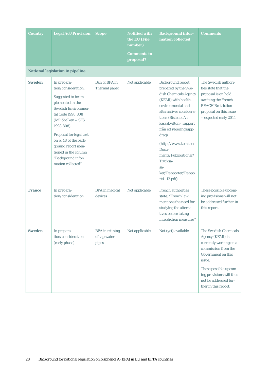| <b>Country</b> | <b>Legal Act/Provision</b>                                                                                                                                                                                                                                                                                       | <b>Scope</b>                                    | <b>Notified with</b><br>the EU (File<br>number)<br><b>Comments to</b><br>proposal? | <b>Background infor-</b><br>mation collected                                                                                                                                                                                                                                                                                                            | <b>Comments</b>                                                                                                                                                                                                                  |
|----------------|------------------------------------------------------------------------------------------------------------------------------------------------------------------------------------------------------------------------------------------------------------------------------------------------------------------|-------------------------------------------------|------------------------------------------------------------------------------------|---------------------------------------------------------------------------------------------------------------------------------------------------------------------------------------------------------------------------------------------------------------------------------------------------------------------------------------------------------|----------------------------------------------------------------------------------------------------------------------------------------------------------------------------------------------------------------------------------|
|                | <b>National legislation in pipeline</b>                                                                                                                                                                                                                                                                          |                                                 |                                                                                    |                                                                                                                                                                                                                                                                                                                                                         |                                                                                                                                                                                                                                  |
| <b>Sweden</b>  | In prepara-<br>tion/consideration.<br>Suggested to be im-<br>plemented in the<br><b>Swedish Environmen-</b><br>tal Code 1998:808<br>(Miljöbalken - SFS<br>1998:808)<br>Proposal for legal text<br>on p. 48 of the back-<br>ground report men-<br>tioned in the column<br>"Background infor-<br>mation collected" | <b>Ban of BPA in</b><br>Thermal paper           | Not applicable                                                                     | <b>Background report</b><br>prepared by the Swe-<br>dish Chemicals Agency<br>(KEMI) with health,<br>environmental and<br>alternatives considera-<br>tions (Bisfenol A i<br>kassakvitton-rapport<br>från ett regeringsupp-<br>drag)<br>(http://www.kemi.se/<br>Docu-<br>ments/Publikationer/<br>Trycksa-<br>$sa-$<br>ker/Rapporter/Rappo<br>$rt4_12.pdf$ | The Swedish authori-<br>ties state that the<br>proposal is on hold<br>awaiting the French<br><b>REACH Restriction</b><br>proposal on this issue<br>- expected early 2014                                                         |
| <b>France</b>  | In prepara-<br>tion/consideration                                                                                                                                                                                                                                                                                | <b>BPA</b> in medical<br>devices                | Not applicable                                                                     | <b>French authorities</b><br>state: "French law<br>mentions the need for<br>studying the alterna-<br>tives before taking<br>interdiction measures"                                                                                                                                                                                                      | These possible upcom-<br>ing provisions will not<br>be addressed further in<br>this report.                                                                                                                                      |
| Sweden         | In prepara-<br>tion/consideration<br>(early phase)                                                                                                                                                                                                                                                               | <b>BPA</b> in relining<br>of tap water<br>pipes | Not applicable                                                                     | Not (yet) available                                                                                                                                                                                                                                                                                                                                     | The Swedish Chemicals<br>Agency (KEMI) is<br>currently working on a<br>commission from the<br>Government on this<br>issue.<br>These possible upcom-<br>ing provisions will thus<br>not be addressed fur-<br>ther in this report. |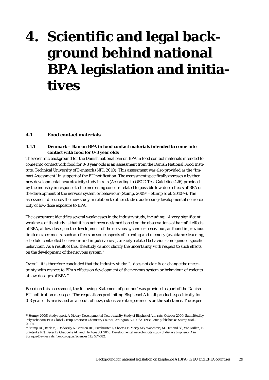## <span id="page-28-0"></span>**4. Scientific and legal background behind national BPA legislation and initiatives**

### <span id="page-28-1"></span>**4.1 Food contact materials**

### <span id="page-28-2"></span>**4.1.1 Denmark – Ban on BPA in food contact materials intended to come into contact with food for 0-3 year olds**

The scientific background for the Danish national ban on BPA in food contact materials intended to come into contact with food for 0-3 year olds is an assessment from the Danish National Food Institute, Technical University of Denmark (NFI, 2010). This assessment was also provided as the "Impact Assessment" in support of the EU notification. The assessment specifically assesses a by then new developmental neurotoxicity study in rats (According to OECD Test Guideline 426) provided by the industry in response to the increasing concern related to possible low-dose effects of BPA on the development of the nervous system or behaviour (Stump, 2009<sup>31</sup>; Stump et al. 2010<sup>32</sup>). The assessment discusses the new study in relation to other studies addressing developmental neurotoxicity of low-dose exposure to BPA.

The assessment identifies several weaknesses in the industry study, including: "*A very significant weakness of the study is that it has not been designed based on the observations of harmful effects of BPA, at low doses, on the development of the nervous system or behaviour, as found in previous limited experiments, such as effects on some aspects of learning and memory (avoidance learning, schedule-controlled behaviour and impulsiveness), anxiety-related behaviour and gender-specific behaviour. As a result of this, the study cannot clarify the uncertainty with respect to such effects on the development of the nervous system.*"

Overall, it is therefore concluded that the industry study: "*…does not clarify or change the uncertainty with respect to BPA's effects on development of the nervous system or behaviour of rodents at low dosages of BPA.*"

Based on this assessment, the following 'Statement of grounds' was provided as part of the Danish EU notification message: "*The regulations prohibiting Bisphenol A in all products specifically for 0-3 year olds are issued as a result of new, extensive rat experiments on the substance. The exper-*

 <sup>31</sup> Stump (2009) study report. A Dietary Developmental Neurotoxicity Study of Bisphenol A in rats. October 2009. Submitted by Polycarbonate/BPA Global Group American Chemistry Council, Arlington, VA, USA. (NB! Later published as Stump et al., 2010).

<span id="page-28-3"></span><sup>32</sup> Stump DG, Beck MJ, Radovsky A, Garman RH, Freshwater L, Sheets LP, Marty MS, Waechter JM, Dimond SS, Van Miller JP, Shiotsuka RN, Beyer D, Chappelle AH and Hentges SG. 2010. Developmental neurotoxicity study of dietary bisphenol A in Sprague-Dawley rats. Toxicological Sciences 115, 167-182.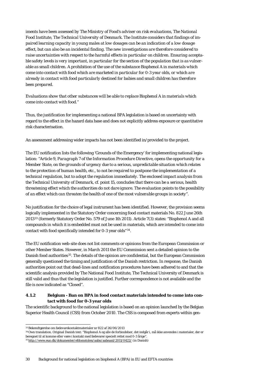*iments have been assessed by The Ministry of Food's adviser on risk evaluations, The National Food Institute, The Technical University of Denmark. The Institute considers that findings of impaired learning capacity in young males at low dosages can be an indication of a low dosage effect, but can also be an incidental finding. The new investigations are therefore considered to raise uncertainties with respect to the harmful effects in particular on children. Ensuring acceptable safety levels is very important, in particular for the section of the population that is as vulnerable as small children. A prohibition of the use of the substance Bisphenol A in materials which come into contact with food which are marketed in particular for 0-3 year olds, or which are already in contact with food particularly destined for babies and small children has therefore been prepared.* 

*Evaluations show that other substances will be able to replace Bisphenol A in materials which come into contact with food."*

Thus, the justification for implementing a national BPA legislation is based on uncertainty with regard to the effect in the hazard data base and does not explicitly address exposure or quantitative risk characterisation.

An assessment addressing wider impacts has not been identified in/provided to the project.

The EU notification lists the following 'Grounds of the Emergency' for implementing national legislation: "*Article 9, Paragraph 7 of the Information Procedure Directive, opens the opportunity for a Member State, on the grounds of urgency due to a serious, unpredictable situation which relates to the protection of human health, etc., to not be required to postpone the implementation of a technical regulation, but to adopt the regulation immediately. The enclosed impact analysis from the Technical University of Denmark, cf. point 15, concludes that there can be a serious, health threatening effect which the authorities do not dare ignore. The evaluation points to the possibility of an effect which can threaten the health of one of the most vulnerable groups in society*".

No justification for the choice of legal instrument has been identified. However, the provision seems logically implemented in the Statutory Order concerning food contact materials No. 822 June 26th 2013[33](#page-28-3) (formerly Statutory Order No. 579 of June 1th 2011). Article 7(3) states: "Bisphenol A and all compounds in which it is embedded must not be used in materials, which are intended to come into contact with food specifically intended for 0-3 year olds"[34.](#page-29-1)

The EU notification web-site does not list comments or opinions from the European Commission or other Member States. However, in March 2011 the EU Commission sent a detailed opinion to the Danish food authorities[35](#page-29-2). The details of the opinion are confidential, but the European Commission generally questioned the timing and justification of the Danish restriction. In response, the Danish authorities point out that dead-lines and notification procedures have been adhered to and that the scientific analysis provided by The National Food Institute, The Technical University of Denmark is still valid and thus that the legislation is justified. Further correspondence is not available and the file is now indicated as "Closed".

### <span id="page-29-0"></span>**4.1.2 Belgium - Ban on BPA in food contact materials intended to come into contact with food for 0-3 year olds**

<span id="page-29-3"></span>The scientific background to the national legislation is based on an opinion launched by the Belgian Superior Health Council (CSS) from October 2010. The CSS is composed from experts within gen-

 <sup>33</sup>Bekendtgørelse om fødevarekontaktmaterialer nr 822 af 26/06/2013

<span id="page-29-1"></span><sup>34</sup>Own translation. Original Danish text: "Bisphenol A og alle de forbindelser, det indgår i, må ikke anvendes i materialer, der er beregnet til at komme eller være i kontakt med fødevarer specielt rettet mod 0-3 årige".

<span id="page-29-2"></span><sup>35</sup> <http://www.euo.dk/dokumenter/efdomstolen/aabn/aabnanl/2011/0422/> (in Danish)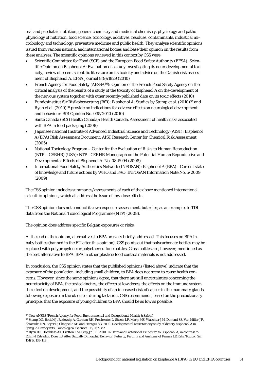eral and paediatric nutrition, general chemistry and medicinal chemistry, physiology and pathophysiology of nutrition, food science, toxicology, additives, residues, contaminants, industrial microbiology and technology, preventive medicine and public health. They analyse scientific opinions issued from various national and international bodies and base their opinion on the results from these analyses. The scientific opinions reviewed in this context by CSS were:

- Scientific Committee for Food (SCF) and the European Food Safety Authority (EFSA): Scientific Opinion on Bisphenol A: Evaluation of a study investigating its neurodevelopmental toxicity, review of recent scientific literature on its toxicity and advice on the Danish risk assessment of Bisphenol A. EFSA Journal 8(9):1829 (2010)
- French Agency for Food Safety (AFSSA[36\)](#page-29-3): Opinion of the French Food Safety Agency on the critical analysis of the results of a study of the toxicity of bisphenol A on the development of the nervous system together with other recently-published data on its toxic effects (2010)
- Bundesinstitut für Risikobewertung (BfR): Bisphenol A: Studies by Stump et al. (2010)[37](#page-30-0) and Ryan et al. (2010)[38](#page-30-1) provide no indications for adverse effects on neurological development and behaviour. BfR Opinion No. 035/2010 (2010)
- Santé Canada (SC) (Health Canada): Health Canada. Assessment of health risks associated with BPA in food packaging (2008)
- Japanese national Institute of Advanced Industrial Science and Technology (AIST): Bisphenol A (BPA) Risk Assessment Document. AIST Research Center for Chemical Risk Assessment (2005)
- National Toxicology Program Center for the Evaluation of Risks to Human Reproduction (NTP – CERHR) (USA): NTP - CERHR Monograph on the Potential Human Reproductive and Developmental Effects of Bisphenol A. No. 08-5994 (2008).
- International Food Safety Authorities Network (INFOSAN): Bisphenol A (BPA) Current state of knowledge and future actions by WHO and FAO. INFOSAN Information Note No. 5/2009 (2009)

The CSS opinion includes summaries/assessments of each of the above mentioned international scientific opinions, which all address the issue of low-dose effects.

The CSS opinion does not conduct its own exposure assessment, but refer, as an example, to TDI data from the National Toxicological Programme (NTP) (2008).

The opinion does address specific Belgian exposures or risks.

At the end of the opinion, alternatives to BPA are very briefly addressed. This focuses on BPA in baby bottles (banned in the EU after this opinion). CSS points out that polycarbonate bottles may be replaced with polypropylene or polyether sulfone bottles. Glass bottles are, however, mentioned as the best alternative to BPA. BPA in other plastics/food contact materials is not addressed.

In conclusion, the CSS opinion states that the published opinions (listed above) indicate that the exposure of the population, including small children, to BPA does not seem to cause health concerns. However, since the same opinions agree, that there are still uncertainties concerning the neurotoxicity of BPA, the toxicokinetics, the effects at low doses, the effects on the immune system, the effect on development, and the possibility of an increased risk of cancer in the mammary glands following exposure in the uterus or during lactation, CSS recommends, based on the precautionary principle, that the exposure of young children to BPA should be as low as possible.

 <sup>36</sup> Now ANSES (French Agency for Food, Environmental and Occupational Health & Safety)

<span id="page-30-0"></span><sup>37</sup> Stump DG, Beck MJ, Radovsky A, Garman RH, Freshwater L, Sheets LP, Marty MS, Waechter JM, Dimond SS, Van Miller JP, Shiotsuka RN, Beyer D, Chappelle AH and Hentges SG. 2010. Developmental neurotoxicity study of dietary bisphenol A in Sprague-Dawley rats. Toxicological Sciences 115, 167-182

<span id="page-30-2"></span><span id="page-30-1"></span><sup>38</sup> Ryan BC, Hotchkiss AK, Crofton KM, Gray Jr. LE. 2010. In Utero and Lactational Ex-posure to Bisphenol A, in contrast to Ethinyl Estradiol, Does not Alter Sexually Dimorphic Behavior, Puberty, Fertility and Anatomy of Female LE Rats. Toxicol. Sci. 114(1), 133-148.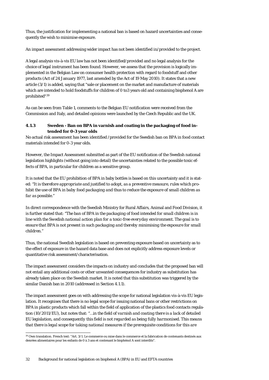Thus, the justification for implementing a national ban is based on hazard uncertainties and consequently the wish to minimise exposure.

An impact assessment addressing wider impact has not been identified in/provided to the project.

A legal analysis vis-à-vis EU law has not been identified/provided and no legal analysis for the choice of legal instrument has been found. However, we assess that the provision is logically implemented in the Belgian Law on consumer health protection with regard to foodstuff and other products (Act of 24 January 1977, last amended by the Act of 19 May 2010). It states that a new article (3/1) is added, saying that "sale or placement on the market and manufacture of materials which are intended to hold foodstuffs for children of 0 to3 years old and containing bisphenol A are prohibited"[39](#page-30-2)

As can be seen from [Table 1,](#page-20-2) comments to the Belgian EU notification were received from the Commission and Italy, and detailed opinions were launched by the Czech Republic and the UK.

### <span id="page-31-0"></span>**4.1.3 Sweden - Ban on BPA in varnish and coating in the packaging of food intended for 0-3 year olds**

No actual risk assessment has been identified /provided for the Swedish ban on BPA in food contact materials intended for 0-3 year olds.

However, the Impact Assessment submitted as part of the EU notification of the Swedish national legislation highlights (without going into detail) the uncertainties related to the possible toxic effects of BPA, in particular for children as a sensitive group.

It is noted that the EU prohibition of BPA in baby bottles is based on this uncertainty and it is stated: "*It is therefore appropriate and justified to adopt, as a preventive measure, rules which prohibit the use of BPA in baby food packaging and thus to reduce the exposure of small children as far as possible.*"

In direct correspondence with the Swedish Ministry for Rural Affairs, Animal and Food Division, it is further stated that: "*The ban of BPA in the packaging of food intended for small children is in line with the Swedish national action plan for a toxic-free everyday environment. The goal is to ensure that BPA is not present in such packaging and thereby minimising the exposure for small children.*"

<span id="page-31-1"></span>Thus, the national Swedish legislation is based on preventing exposure based on uncertainty as to the effect of exposure in the hazard data base and does not explicitly address exposure levels or quantitative risk assessment/characterisation.

The impact assessment considers the impacts on industry and concludes that the proposed ban will not entail any additional costs or other unwanted consequences for industry as substitution has already taken place on the Swedish market. It is noted that this substitution was triggered by the similar Danish ban in 2010 (addressed in Section [4.1.1\)](#page-28-2).

The impact assessment goes on with addressing the scope for national legislation vis-à-vis EU legislation. It recognises that there is no legal scope for issuing national bans or other restrictions on BPA in plastic products which fall within the field of application of the plastics food contacts regulation (10/2011/EU), but notes that: "…*in the field of varnish and coating there is a lack of detailed EU legislation, and consequently this field is not regarded as being fully harmonised. This means that there is legal scope for taking national measures if the prerequisite conditions for this are* 

 <sup>39</sup> Own translation. French text: "Art. 3/1. Le commerce ou mise dans le commerce et la fabrication de contenants destinés aux denrées alimentaires pour les enfants de 0 à 3 ans et contenant le bisphénol A sont interdits".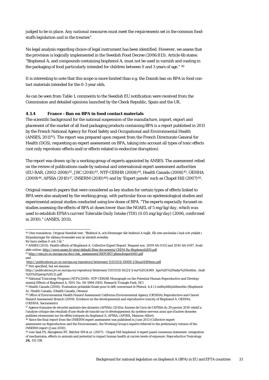*judged to be in place. Any national measures must meet the requirements set in the common foodstuffs legislation and in the treaties*".

No legal analysis regarding choice of legal instrument has been identified. However, we assess that the provision is logically implemented in the Swedish Food Decree (2006:813). Article 6b states: "Bisphenol A, and compounds containing bisphenol A, must not be used in varnish and coating in the packaging of food particularly intended for children between 0 and 3 years of age." <sup>[40](#page-31-1)</sup>

It is interesting to note that this scope is more limited than e.g. the Danish ban on BPA in food contact materials intended for the 0-3 year olds.

As can be seen from [Table 1,](#page-20-2) comments to the Swedish EU notification were received from the Commission and detailed opinions launched by the Check Republic, Spain and the UK.

### <span id="page-32-0"></span>**4.1.4 France - Ban on BPA in food contact materials**

The scientific background for the national suspension of the manufacture, import, export and placement of the market of all food packaging products containing BPA is a report published in 2011 by the French National Agency for Food Safety and Occupational and Environmental Health (ANSES, 2011[41](#page-32-1)). The report was prepared upon request from the French Directorate General for Health (DGS), requesting an expert assessment on BPA, taking into account all types of toxic effects (not only reprotoxic effects and/or effects related to endocrine disruption).

The report was drawn up by a working group of experts appointed by ANSES. The assessment relied on the review of publications made by national and international expert assessment authorities (EU-RAR, (2002-2008)[42](#page-32-2), JRC (2010)[43,](#page-32-3) NTP-CERHR (2008)[44,](#page-32-4) Health Canada (2008)[45](#page-32-5), OEHHA (2009)[46,](#page-32-6) AFSSA (2010)[47,](#page-32-7) INSERM (2010)[48\)](#page-32-8) and by 'Expert panels' such as Chapel Hill (2007)[49.](#page-32-9)

Original research papers that were considered as key studies for certain types of effects linked to BPA were also analysed by the working group, with particular focus on epidemiological studies and experimental animal studies conducted using low doses of BPA. "*The experts especially focused on studies assessing the effects of BPA at doses lower than the NOAEL of 5 mg/kg/day, which was used to establish EFSA's current Tolerable Daily Intake (TDI) (0.05 mg/kg/day) (2006, confirmed in 2010).*" (ANSES, 2011).

 <sup>40</sup> Own translation. Original Swedish text: "Bisfenol A, och föreningar där bisfenol A ingår, får inte användas i lack och ytskikt i förpackningar för sådana livsmedel som är särskilt avsedda

för barn mellan 0 och 3 år.

<span id="page-32-1"></span><sup>41</sup> ANSES (2011): Health effects of Bisphenol A. Collective Expert Report. Request nos. 2009-SA-0331 and 2010-SA-0197. Available online[: http://www.anses.fr/sites/default/files/documents/CHIM-Ra-BisphenolAEN.pdf](http://www.anses.fr/sites/default/files/documents/CHIM-Ra-BisphenolAEN.pdf)

<span id="page-32-2"></span><sup>42</sup> [http://esis.jrc.ec.europa.eu/doc/risk\\_assessment/REPORT/phenolreport060.pdf](http://esis.jrc.ec.europa.eu/doc/risk_assessment/REPORT/phenolreport060.pdf) and

<http://publications.jrc.ec.europa.eu/repository/bitstream/111111111/15069/1/lbna24589enn.pdf> <sup>43</sup> Not specified, but we assume:

<span id="page-32-3"></span>http://publications.jrc.ec.europa.eu/repository/bitstream/111111111/14221/1/eur%2024389\_bpa%20%20baby%20bottles\_chall %20%20persp%20(2).pdf

<span id="page-32-4"></span><sup>44</sup> National Toxicology Program (NTP)(2008): NTP-CERHR Monograph on the Potential Human Reproductive and Developmental Effects of Bisphenol A. NIH, No. 08-5994 (NIH, Research Triangle Park, NC)

<span id="page-32-5"></span><sup>45</sup> Health Canada (2008): Évaluation préalable finale pour le défi concernant le Phénol, 4,4-(1-méthyléthylidène)bis (Bisphenol-A). Health Canada, (Health Canada, Ottawa)

<span id="page-32-6"></span><sup>46</sup> Office of Environmental Health Hazard Assessment California Environmental Agency (OEHHA) Reproductive and Cancer Hazard Assessment Branch (2009): Evidence on the developmental and reproductive toxicity of Bisphenol A. OEHHA, (OEHHA, Sacramento)

<span id="page-32-7"></span><sup>47</sup> Agence française de sécurité sanitaire des aliments (AFSSA) (2010a) Annexe de l'avis de l'AFSSA du 29 janvier 2010 relatif a l'analyse critique des résultats d'une étude de toxicité sur le développement du système nerveux ainsi que d'autres données publiées récemment sur les effets toxiques du bisphenol A. AFSSA, (AFSSA, Maisons-Alfort)

<span id="page-32-8"></span><sup>48</sup> Since the final report from the INSERM expert assessment was published in June 2011 (Collective expert assessment on Reproduction and the Environment), the Working Group's experts referred to the preliminary version of the INSERM report (June 2010).

<span id="page-32-9"></span><sup>49</sup> vom Saal FS, Akingbemi BT, Belcher SM *et al.* (2007): Chapel Hill bisphenol A expert panel consensus statement: integration of mechanisms, effects in animals and potential to impact human health at curren levels of exposure. *Reproductive Toxicology*  **24,** 131-138.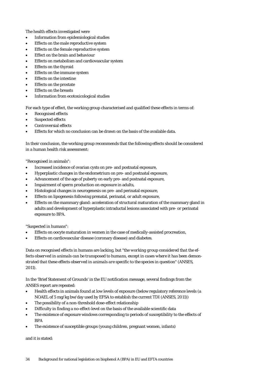The health effects investigated were

- Information from epidemiological studies
- Effects on the male reproductive system
- Effects on the female reproductive system
- Effect on the brain and behaviour
- Effects on metabolism and cardiovascular system
- Effects on the thyroid
- Effects on the immune system
- Effects on the intestine
- Effects on the prostate
- Effects on the breasts
- Information from ecotoxicological studies

For each type of effect, the working group characterised and qualified these effects in terms of:

- Recognised effects
- Suspected effects
- Controversial effects
- Effects for which no conclusion can be drawn on the basis of the available data.

In their conclusion, the working group recommends that the following effects should be considered in a human health risk assessment:

"Recognised in animals":

- Increased incidence of ovarian cysts on pre- and postnatal exposure,
- Hyperplastic changes in the endometrium on pre- and postnatal exposure,
- Advancement of the age of puberty on early pre- and postnatal exposure,
- Impairment of sperm production on exposure in adults,
- Histological changes in neurogenesis on pre- and perinatal exposure,
- Effects on lipogenesis following prenatal, perinatal, or adult exposure,
- Effects on the mammary gland: acceleration of structural maturation of the mammary gland in adults and development of hyperplastic intraductal lesions associated with pre- or perinatal exposure to BPA.

"Suspected in humans":

- Effects on oocyte maturation in women in the case of medically-assisted procreation,
- Effects on cardiovascular disease (coronary disease) and diabetes.

Data on recognised effects in humans are lacking, but "*the working group considered that the effects observed in animals can be transposed to humans, except in cases where it has been demonstrated that these effects observed in animals are specific to the species in question*" (ANSES, 2011).

In the 'Brief Statement of Grounds' in the EU notification message, several findings from the ANSES report are repeated:

- Health effects in animals found at low levels of exposure (below regulatory reference levels (a NOAEL of 5 mg/kg bw/day used by EFSA to establish the current TDI (ANSES, 2011))
- The possibility of a non-threshold dose-effect relationship
- Difficulty in finding a no-effect-level on the basis of the available scientific data
- The existence of exposure windows corresponding to periods of susceptibility to the effects of **BPA**
- The existence of susceptible groups (young children, pregnant women, infants)

and it is stated: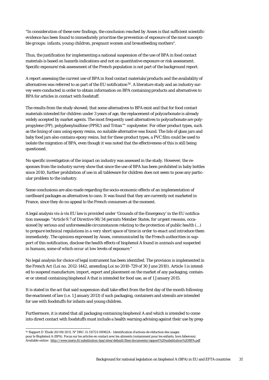"*In consideration of these new findings, the conclusion reached by Anses is that sufficient scientific evidence has been found to immediately prioritise the prevention of exposure of the most susceptible groups: infants, young children, pregnant women and breastfeeding mothers*".

Thus, the justification for implementing a national suspension of the use of BPA in food contact materials is based on hazards indications and not on quantitative exposure or risk assessment. Specific exposure/risk assessment of the French population is not part of the background report.

A report assessing the current use of BPA in food contact materials/products and the availability of alternatives was referred to as part of the EU notification<sup>[50](#page-32-9)</sup>. A literature study and an industry survey were conducted in order to obtain information on BPA containing products and alternatives to BPA for articles in contact with foodstuff.

The results from the study showed, that some alternatives to BPA exist and that for food contact materials intended for children under 3 years of age, the replacement of polycarbonate is already widely accepted by market agents. The most frequently used alternatives to polycarbonate are polypropylene (PP), polyphenylsulfone (PPSU) and Tritan™ copolyester. For other product types, such as the lining of cans using epoxy resins, no suitable alternative was found. The lids of glass jars and baby food jars also contains epoxy resins, but for these product types, a PVC film could be used to isolate the migration of BPA, even though it was noted that the effectiveness of this is still being questioned.

No specific investigation of the impact on industry was assessed in the study. However, the responses from the industry survey show that since the use of BPA has been prohibited in baby bottles since 2010, further prohibition of use in all tableware for children does not seem to pose any particular problem to the industry.

Some conclusions are also made regarding the socio-economic effects of an implementation of cardboard packages as alternatives to cans. It was found that they are currently not marketed in France, since they do no appeal to the French consumers at the moment.

A legal analysis vis-à-vis EU law is provided under 'Grounds of the Emergency' in the EU notification message: "*Article 9.7 of Directive 98/34 permits Member States, for urgent reasons, occasioned by serious and unforeseeable circumstances relating to the protection of public health (...) to prepare technical regulations in a very short space of time in order to enact and introduce them immediately. The opinions expressed by Anses, communicated by the French authorities in support of this notification, disclose the health effects of bisphenol A found in animals and suspected in humans, some of which occur at low levels of exposure.*"

No legal analysis for choice of legal instrument has been identified. The provision is implemented in the French Act (Loi no. 2012-1442, amending Loi no 2010-729 of 30 June 2010). Article 1 is intended to suspend manufacture, import, export and placement on the market of any packaging, container or utensil containing bisphenol A that is intended for food use, as of 1 January 2015.

It is stated in the act that said suspension shall take effect from the first day of the month following the enactment of law (i.e. 1 January 2013) if such packaging, containers and utensils are intended for use with foodstuffs for infants and young children.

Furthermore, it is stated that all packaging containing bisphenol A and which is intended to come into direct contact with foodstuffs must include a health warning advising against their use by preg-

<span id="page-34-0"></span> <sup>50</sup> Rapport D´Étude 20/08/2011. N° DRC-11-115721-08982A - Identification d'actions de réduction des usages pour le Bisphénol A (BPA). Focus sur les articles en contact avec les aliments (notamment pour les enfants, hors biberons). Available online:<http://www.ineris.fr/substitution-bpa/sites/default/files/documents/rapport%20substitution%20BPA.pdf>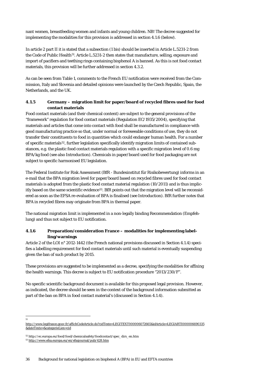nant women, breastfeeding women and infants and young children. NB! The decree suggested for implementing the modalities for this provision is addressed in sectio[n 4.1.6](#page-35-1) (below).

In article 2 part II it is stated that a subsection (1 bis) should be inserted in Article L.5231-2 from the Code of Public Health<sup>[51](#page-34-0)</sup>. Article L.5231-2 then states that manufacture, selling, exposure and import of pacifiers and teething rings containing bisphenol A is banned. As this is not food contact materials, this provision will be further addressed in sectio[n 4.3.2.](#page-38-0) 

As can be seen from [Table 1,](#page-20-2) comments to the French EU notification were received from the Commission, Italy and Slovenia and detailed opinions were launched by the Czech Republic, Spain, the Netherlands, and the UK.

### <span id="page-35-0"></span>**4.1.5 Germany – migration limit for paper/board of recycled fibres used for food contact materials**

Food contact materials (and their chemical content) are subject to the general provisions of the "framework" regulation for food contact materials (Regulation EC/1935/2004), specifying that materials and articles that come into contact with food shall be manufactured in compliance with good manufacturing practice so that, under normal or foreseeable conditions of use, they do not transfer their constituents to food in quantities which could endanger human health. For a number of specific materials[52,](#page-35-2) further legislation specifically identify migration limits of contained substances, e.g. the plastic food contact materials regulation with a specific migration level of 0.6 mg BPA/kg food (see also Introduction). Chemicals in paper/board used for food packaging are not subject to specific harmonised EU legislation.

The Federal Institute for Risk Assessment (BfR - Bundesinstitut für Risikobewertung) informs in an e-mail that the BPA migration level for paper/board based on recycled fibres used for food contact materials is adopted from the plastic food contact material regulation (10/2011) and is thus implic-itly based on the same scientific evidence<sup>[53](#page-35-3)</sup>. BfR points out that the migration level will be reconsidered as soon as the EFSA re-evaluation of BPA is finalised (see Introduction). BfR further notes that BPA in recycled fibres may originate from BPA in thermal paper.

The national migration limit is implemented in a non-legally binding Recommendation (Empfehlung) and thus not subject to EU notification.

## <span id="page-35-1"></span>**4.1.6 Preparation/consideration France – modalities for implementing labelling/warnings**

Article 2 of the LOI n° 2012-1442 (the French national provisions discussed in Sectio[n 4.1.4\)](#page-32-0) specifies a labelling requirement for food contact materials until such material is eventually suspending given the ban of such product by 2015.

These provisions are suggested to be implemented as a decree, specifying the modalities for affixing the health warnings. This decree is subject to EU notification procedure "2013/230/F".

No specific scientific background document is available for this proposed legal provision. However, as indicated, the decree should be seen in the context of the background information submitted as part of the ban on BPA in food contact material's (discussed in Sectio[n 4.1.4\)](#page-32-0).

 <sup>51</sup>

http://www.legifrance.gouv.fr/affichCodeArticle.do?cidTexte=LEGITEXT000006072665&idArticle=LEGIARTI000006690335 &dateTexte=&categorieLien=cid

<span id="page-35-4"></span><span id="page-35-2"></span><sup>52</sup> http://ec.europa.eu/food/food/chemicalsafety/foodcontact/spec\_dirs\_en.htm

<span id="page-35-3"></span><sup>53</sup> <http://www.efsa.europa.eu/en/efsajournal/pub/428.htm>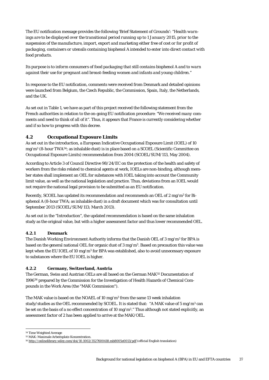The EU notification message provides the following 'Brief Statement of Grounds': "*Health warnings are to be displayed over the transitional period running up to 1 January 2015, prior to the suspension of the manufacture, import, export and marketing either free of cost or for profit of packaging, containers or utensils containing bisphenol A intended to enter into direct contact with food products.* 

*Its purpose is to inform consumers of food packaging that still contains bisphenol A and to warn against their use for pregnant and breast-feeding women and infants and young children.*"

In response to the EU notification, comments were received from Denmark and detailed opinions were launched from Belgium, the Czech Republic, the Commission, Spain, Italy, the Netherlands, and the UK.

As set out i[n Table 1,](#page-20-2) we have as part of this project received the following statement from the French authorities in relation to the on-going EU notification procedure: "*We received many comments and need to think of all of it*". Thus, it appears that France is currently considering whether and if so how to progress with this decree.

## <span id="page-36-0"></span>**4.2 Occupational Exposure Limits**

As set out in the introduction, a European Indicative Occupational Exposure Limit (IOEL) of 10  $mg/m^3$  (8-hour TWA<sup>[54](#page-35-4)</sup>; as inhalable dust) is in place based on a SCOEL (Scientific Committee on Occupational Exposure Limits) recommendation from 2004 (SCOEL/SUM/113, May 2004).

According to Article 3 of Council Directive 98/24/EC on the protection of the health and safety of workers from the risks related to chemical agents at work, IOELs are non-binding, although member states shall implement an OEL for substances with IOEL taking into account the Community limit value, as well as the national legislation and practice. Thus, deviations from an IOEL would not require the national legal provision to be submitted as an EU notification.

Recently, SCOEL has updated its recommendation and recommends an OEL of 2 mg/m3 for Bisphenol A (8-hour TWA; as inhalable dust) in a draft document which was for consultation until September 2013 (SCOEL/SUM/113; March 2013).

As set out in the "Introduction", the updated recommendation is based on the same inhalation study as the original value, but with a higher assessment factor and thus lower recommended OEL.

### <span id="page-36-1"></span>**4.2.1 Denmark**

The Danish Working Environment Authority informs that the Danish OEL of 3 mg/m3 for BPA is based on the general national OEL for organic dust of 3 mg/m3. Based on precaution this value was kept when the EU IOEL of 10  $mg/m<sup>3</sup>$  for BPA was established, also to avoid unnecessary exposure to substances where the EU IOEL is higher.

### <span id="page-36-2"></span>**4.2.2 Germany, Switzerland, Austria**

The German, Swiss and Austrian OELs are all based on the German MAK[55](#page-36-3) Documentation of 1996[56](#page-36-4) prepared by the Commission for the Investigation of Health Hazards of Chemical Compounds in the Work Area (the "MAK Commission").

The MAK value is based on the NOAEL of 10 mg/m<sup>3</sup> from the same 13 week inhalation study/studies as the OEL recommended by SCOEL. It is stated that: "A MAK value of 5 mg/m<sup>3</sup> can be set on the basis of a no effect concentration of 10 mg/m3." Thus although not stated explicitly, an assessment factor of 2 has been applied to arrive at the MAK/OEL.

<span id="page-36-5"></span><span id="page-36-3"></span> <sup>54</sup> Time Weighted Average

<sup>55</sup> MAK: Maximale Arbeitsplatz-Konzentration.

<span id="page-36-4"></span><sup>56</sup> <http://onlinelibrary.wiley.com/doi/10.1002/3527600418.mb8005e0013/pdf> (official English translation)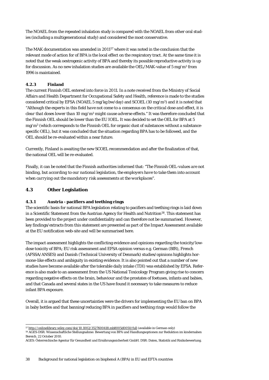The NOAEL from the repeated inhalation study is compared with the NOAEL from other oral studies (including a multigenerational study) and considered the most conservative.

The MAK documentation was amended in 2011[57](#page-36-5) where it was noted in the conclusion that the relevant mode of action for of BPA is the local effect on the respiratory tract. At the same time it is noted that the weak oestrogenic activity of BPA and thereby its possible reproductive activity is up for discussion. As no new inhalation studies are available the OEL/MAK-value of 5 mg/m3 from 1996 is maintained.

### <span id="page-37-0"></span>**4.2.3 Finland**

The current Finnish OEL entered into force in 2011. In a note received from the Ministry of Social Affairs and Health Department for Occupational Safety and Health, reference is made to the studies considered critical by EFSA (NOAEL 5 mg/kg bw/day) and SCOEL (10 mg/m<sup>3</sup>) and it is noted that "*Although the experts in this field have not come to a consensus on the critical dose and effect, it is clear that doses lower than 10 mg/m3 might cause adverse effects.*" It was therefore concluded that the Finnish OEL should be lower than the EU IOEL. It was decided to set the OEL for BPA at 5 mg/m3 (which corresponds to the Finnish OEL for organic dust of substances without a substancespecific OEL), but it was concluded that the situation regarding BPA has to be followed, and the OEL should be re-evaluated within a near future.

Currently, Finland is awaiting the new SCOEL recommendation and after the finalization of that, the national OEL will be re-evaluated.

Finally, it can be noted that the Finnish authorities informed that: "*The Finnish OEL-values are not binding, but according to our national legislation, the employers have to take them into account when carrying out the mandatory risk assessments at the workplaces*".

### <span id="page-37-1"></span>**4.3 Other Legislation**

### <span id="page-37-2"></span>**4.3.1 Austria - pacifiers and teething rings**

The scientific basis for national BPA legislation relating to pacifiers and teething rings is laid down in a Scientific Statement from the Austrian Agency for Health and Nutrition[58](#page-37-3). This statement has been provided to the project under confidentiality and can therefore not be summarised. However, key findings/extracts from this statement are presented as part of the Impact Assessment available at the EU notification web-site and will be summarised here.

The impact assessment highlights the conflicting evidence and opinions regarding the toxicity/lowdose toxicity of BPA; EU risk assessment and EFSA opinion versus e.g. German (BfR), French (AFSSA/ANSES) and Danish (Technical University of Denmark) studies/opinions highlights hormone-like effects and ambiguity in existing evidence. It is also pointed out that a number of new studies have become available after the tolerable daily intake (TDI) was established by EFSA. Reference is also made to an assessment from the US National Toxicology Program giving rise to concern regarding negative effects on the brain, behaviour and the prostates of foetuses, infants and babies, and that Canada and several states in the US have found it necessary to take measures to reduce infant BPA exposure.

<span id="page-37-4"></span>Overall, it is argued that these uncertainties were the drivers for implementing the EU ban on BPA in baby bottles and that banning/reducing BPA in pacifiers and teething rings would follow the

 <sup>57</sup> <http://onlinelibrary.wiley.com/doi/10.1002/3527600418.mb8005d0050/full> (available in German only)

<span id="page-37-3"></span><sup>58</sup> AGES-DSR: Wissenschaftliche Stellungnahme: Bewertung von BPA und Handlungsoptionen zur Reduktion im kindernahen Bereich. 22 October 2010.

AGES: Österreichische Agentur für Gesundheit und Ernährungssicherheit GmbH. DSR: Daten, Statistik und Risikobewertung.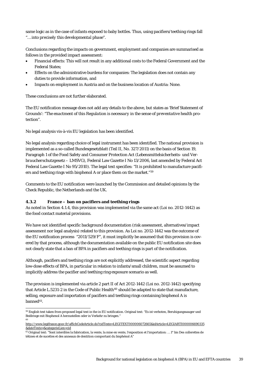same logic as in the case of infants exposed to baby bottles. Thus, using pacifiers/teething rings fall "*… into precisely this developmental phase*".

Conclusions regarding the impacts on government, employment and companies are summarised as follows in the provided impact assessment:

- Financial effects: This will not result in any additional costs to the Federal Government and the Federal States;
- Effects on the administrative burdens for companies: The legislation does not contain any duties to provide information, and
- Impacts on employment in Austria and on the business location of Austria: None.

These conclusions are not further elaborated.

The EU notification message does not add any details to the above, but states as 'Brief Statement of Grounds': "*The enactment of this Regulation is necessary in the sense of preventative health protection*".

No legal analysis vis-à-vis EU legislation has been identified.

No legal analysis regarding choice of legal instrument has been identified. The national provision is implemented as a so-called Bundesgesetzblatt (Teil II, No. 327/2011) on the basis of Section 19, Paragraph 1 of the Food Safety and Consumer Protection Act (*Lebensmittelsicherheits- und Verbraucherschutzgesetz* – LMSVG), Federal Law Gazette I No 13/2006, last amended by Federal Act Federal Law Gazette I No 95/2010). The legal text specifies: "It is prohibited to manufacture pacifiers and teething rings with bisphenol A or place them on the market."[59](#page-37-4)

Comments to the EU notification were launched by the Commission and detailed opinions by the Check Republic, the Netherlands and the UK.

### <span id="page-38-0"></span>**4.3.2 France – ban on pacifiers and teething rings**

As noted in Sectio[n 4.1.4,](#page-32-0) this provision was implemented via the same act (Loi no. 2012-1442) as the food contact material provisions.

We have not identified specific background documentation (risk assessment, alternatives/impact assessment nor legal analysis) related to this provision. As Loi no. 2012-1442 was the outcome of the EU notification process "2011/529/F", it must implicitly be assumed that this provision is covered by that process, although the documentation available on the public EU notification site does not clearly state that a ban of BPA in pacifiers and teething rings is part of the notification.

Although, pacifiers and teething rings are not explicitly addressed, the scientific aspect regarding low-dose effects of BPA, in particular in relation to infants/small children, must be assumed to implicitly address the pacifier and teething ring exposure scenario as well.

<span id="page-38-3"></span>The provision is implemented via article 2 part II of Act 2012-1442 (Loi no. 2012-1442) specifying that Article L.5231-2 in the Code of Public Health<sup>[60](#page-38-1)</sup> should be adapted to state that manufacture, selling, exposure and importation of pacifiers and teething rings containing bisphenol A is banned<sup>61</sup>.

 <sup>59</sup> English text taken from proposed legal text in the in EU notification. Original text: "Es ist verboten, Beruhigungssauger und Beißringe mit Bisphenol A herzustellen oder in Verkehr zu bringen." 60

<span id="page-38-1"></span>http://www.legifrance.gouv.fr/affichCodeArticle.do?cidTexte=LEGITEXT000006072665&idArticle=LEGIARTI000006690335 &dateTexte=&categorieLien=cid

<span id="page-38-2"></span><sup>61</sup> Original text: "Sont interdites la fabrication, la vente, la mise en vente, l'exposition et l'importation: … 1° bis Des collerettes de tétines et de sucettes et des anneaux de dentition comportant du bisphénol A"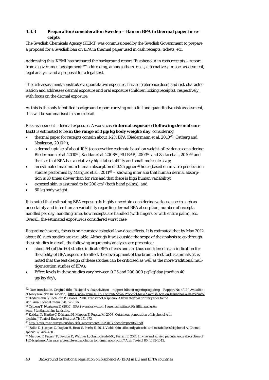### <span id="page-39-0"></span>**4.3.3 Preparation/consideration Sweden – Ban on BPA in thermal paper in receipts**

The Swedish Chemicals Agency (KEMI) was commissioned by the Swedish Government to prepare a proposal for a Swedish ban on BPA in thermal paper used in cash receipts, tickets, etc.

Addressing this, KEMI has prepared the background report "Bisphenol A in cash receipts – report from a government assignment<sup>62</sup>" addressing, among others, risks, alternatives, impact assessment, legal analysis and a proposal for a legal text.

The risk assessment constitutes a quantitative exposure, hazard (reference dose) and risk characterisation and addresses dermal exposure and oral exposure (children licking receipts), respectively, with focus on the dermal exposure.

As this is the only identified background report carrying out a full and quantitative risk assessment, this will be summarised in some detail.

### *Risk assessment - dermal exposure.* A worst case **internal exposure (following dermal contact)** is estimated to be **in the range of 1 µg/kg body weight/day**, considering:

- <span id="page-39-1"></span>• thermal paper for receipts contain about 1-2% BPA (Biedermann et al, 2010[63,](#page-39-2) Östberg and Noaksson, 2010[64](#page-39-3));
- a dermal uptake of about 10% (conservative estimate based on weight-of-evidence considering Biedermann et al. 201[063,](#page-39-1) Kaddar et al. 2008[65,](#page-39-4) EU RAR, 2003[66](#page-39-5) and Zalko et al., 2010[67](#page-39-6) and the fact that BPA has a relatively high fat solubility and small molecule size);
- an estimated maximum human absorption of 0.25  $\mu$ g/cm<sup>2</sup>/hour (based on in vitro penetration studies performed by Marquet et al., 2011<sup>[68](#page-39-7)</sup> – showing inter alia that human dermal absorption is 10 times slower than for rats and that there is high human variability);
- exposed skin is assumed to be 200 cm2 (both hand palms), and
- 60 kg body weight.

It is noted that estimating BPA exposure is highly uncertain considering various aspects such as uncertainty and inter-human variability regarding dermal BPA absorption, number of receipts handled per day, handling time, how receipts are handled (with fingers or with entire palm), etc. Overall, the estimated exposure is considered worst case.

Regarding hazards, focus is on neurotoxicological low-dose effects. It is estimated that by May 2012 about 60 such studies are available. Although it was outside the scope of the analysis to go through these studies in detail, the following arguments/analyses are presented:

- about 54 (of the 60) studies indicate BPA effects and are thus considered as an indication for the ability of BPA exposure to affect the development of the brain in test foetus animals (it is noted that the test design of these studies can be criticised as well as the more traditional multigeneration studies of BPA);
- Effect levels in these studies vary between 0.25 and 200.000 µg/kg/day (median 40 µg/kg/day);

 $^{62}$  Own translation. Original title: "Bisfenol A i kassakvitton – rapport från ett regeringsuppdrag – Rapport Nr. 4/12". Avaialble at (only available in Swedish)[: http://www.kemi.se/en/Content/News/Proposal-for-a-Swedish-ban-on-bisphenol-A-in-receipts/](http://www.kemi.se/en/Content/News/Proposal-for-a-Swedish-ban-on-bisphenol-A-in-receipts/)  <sup>63</sup> Biedermann S, Tschudin P, Grob K. 2010. Transfer of bisphenol A from thermal printer paper to the

<span id="page-39-2"></span>skin. Anal Bioanal Chem 398: 571-576.

<span id="page-39-3"></span><sup>64</sup> Östberg T, Noaksson E. (2010), BPA i svenska kvitton, Jegreliusinstitutet för tillämpad grön kemi, Jämtlands läns landsting.

<span id="page-39-8"></span><span id="page-39-4"></span><sup>65</sup> Kaddar N, Harthé C, Déchaud H, Mappus E, Pugeat M. 2008. Cutaneous penetration of bisphenol A in pigskin. J Toxicol Environ Health A 71: 471-473

<sup>66</sup> [http://esis.jrc.ec.europa.eu/doc/risk\\_assessment/REPORT/phenolreport060.pdf](http://esis.jrc.ec.europa.eu/doc/risk_assessment/REPORT/phenolreport060.pdf)

<span id="page-39-6"></span><span id="page-39-5"></span><sup>67</sup> [Zalko D,](http://www.ncbi.nlm.nih.gov/pubmed?term=Zalko%20D%5BAuthor%5D&cauthor=true&cauthor_uid=21030062) [Jacques C,](http://www.ncbi.nlm.nih.gov/pubmed?term=Jacques%20C%5BAuthor%5D&cauthor=true&cauthor_uid=21030062) [Duplan H,](http://www.ncbi.nlm.nih.gov/pubmed?term=Duplan%20H%5BAuthor%5D&cauthor=true&cauthor_uid=21030062) [Bruel S,](http://www.ncbi.nlm.nih.gov/pubmed?term=Bruel%20S%5BAuthor%5D&cauthor=true&cauthor_uid=21030062) [Perdu E.](http://www.ncbi.nlm.nih.gov/pubmed?term=Perdu%20E%5BAuthor%5D&cauthor=true&cauthor_uid=21030062) 2011. Viable skin efficiently absorbs and metabolizes bisphenol A. Chemosphere 82: 424-430.

<span id="page-39-7"></span><sup>&</sup>lt;sup>68</sup> [Marquet F,](http://www.ncbi.nlm.nih.gov/pubmed?term=Marquet%20F%5BAuthor%5D&cauthor=true&cauthor_uid=21287149) [Payan JP,](http://www.ncbi.nlm.nih.gov/pubmed?term=Payan%20JP%5BAuthor%5D&cauthor=true&cauthor_uid=21287149) [Beydon D,](http://www.ncbi.nlm.nih.gov/pubmed?term=Beydon%20D%5BAuthor%5D&cauthor=true&cauthor_uid=21287149) [Wathier L,](http://www.ncbi.nlm.nih.gov/pubmed?term=Wathier%20L%5BAuthor%5D&cauthor=true&cauthor_uid=21287149) [Grandclaude MC,](http://www.ncbi.nlm.nih.gov/pubmed?term=Grandclaude%20MC%5BAuthor%5D&cauthor=true&cauthor_uid=21287149) [Ferrari E.](http://www.ncbi.nlm.nih.gov/pubmed?term=Ferrari%20E%5BAuthor%5D&cauthor=true&cauthor_uid=21287149) 2011. In vivo and ex vivo percutaneous absorption of 14C-bisphenol A in rats: a possible extrapolation to human absorption? Arch Toxicol 85: 1035-1043.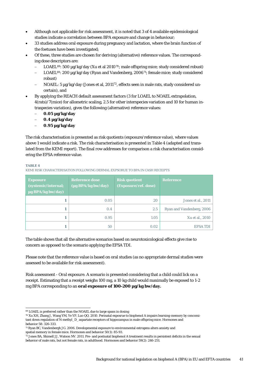- Although not applicable for risk assessment, it is noted that 3 of 4 available epidemiological studies indicate a correlation between BPA exposure and change in behaviour;
- 33 studies address oral exposure during pregnancy and lactation, where the brain function of the foetuses have been investigated;
- <span id="page-40-0"></span>• Of these, three studies are chosen for deriving (alternative) reference values. The corresponding dose descriptors are:
	- LOAEL<sup>[69](#page-39-8)</sup>: 500 μg/kg/day (Xu et al 2010<sup>[70](#page-40-2)</sup>; male offspring mice; study considered robust)
	- LOAEL<sup>69</sup>: 200 μg/kg/day (Ryan and Vandenberg, 2006<sup>[71](#page-40-3)</sup>; female mice; study considered robust)
	- − NOAEL: 5 µg/kg/day (Jones et al, 2011[72](#page-40-4), effects seen in male rats, study considered uncertain), and
- By applying the REACH default assessment factors (3 for LOAEL to NOAEL extrapolation, 4(rats)/7(mice) for allometric scaling, 2.5 for other interspecies variation and 10 for human intraspecies variation), gives the following (alternative) reference values:
	- − **0.05 µg/kg/day**
	- − **0.4 µg/kg/day**
	- − **0.95 µg/kg/day**

The risk characterisation is presented as risk quotients (exposure/reference value), where values above 1 would indicate a risk. The risk characterisation is presented i[n Table 4](#page-40-1) (adapted and translated from the KEMI report). The final row addresses for comparison a risk characterisation considering the EFSA reference value.

#### <span id="page-40-1"></span>**TABLE 4**

KEMI RISK CHARACTERISATION FOLLOWING DERMAL EXPSORUE TO BPA IN CASH RECEIPTS

| <b>Exposure</b><br>(systemic/internal;<br>µg BPA/kg bw/day) | <b>Reference dose</b><br>(µg BPA/kg bw/day) | <b>Risk quotient</b><br>(Exposure/ref. dose) | <b>Reference</b>          |
|-------------------------------------------------------------|---------------------------------------------|----------------------------------------------|---------------------------|
|                                                             | 0.05                                        | 20                                           | Jones et al., 2011        |
|                                                             | 0.4                                         | 2.5                                          | Ryan and Vandenberg, 2006 |
|                                                             | 0.95                                        | 1.05                                         | Xu et al., 2010           |
|                                                             | 50                                          | 0.02                                         | <b>EFSA TDI</b>           |

The table shows that all the alternative scenarios based on neurotoxicological effects give rise to concern as opposed to the scenario applying the EFSA TDI.

Please note that the reference value is based on oral studies (as no appropriate dermal studies were assessed to be available for risk assessment).

*Risk assessment - Oral exposure.* A scenario is presented considering that a child could lick on a receipt. Estimating that a receipt weighs 100 mg, a 10 kg child would maximally be exposed to 1-2 mg BPA corresponding to an **oral exposure of 100-200 µg/kg bw/day.**

<span id="page-40-5"></span> <sup>69</sup> LOAEL is preferred rather than the NOAEL due to large spans in dosing

<span id="page-40-2"></span><sup>70</sup> [Xu XH,](http://www.ncbi.nlm.nih.gov/pubmed?term=Xu%20XH%5BAuthor%5D&cauthor=true&cauthor_uid=20206181) [Zhang J,](http://www.ncbi.nlm.nih.gov/pubmed?term=Zhang%20J%5BAuthor%5D&cauthor=true&cauthor_uid=20206181) [Wang YM,](http://www.ncbi.nlm.nih.gov/pubmed?term=Wang%20YM%5BAuthor%5D&cauthor=true&cauthor_uid=20206181) [Ye YP,](http://www.ncbi.nlm.nih.gov/pubmed?term=Ye%20YP%5BAuthor%5D&cauthor=true&cauthor_uid=20206181) [Luo QQ.](http://www.ncbi.nlm.nih.gov/pubmed?term=Luo%20QQ%5BAuthor%5D&cauthor=true&cauthor_uid=20206181) 2010. Perinatal exposrue to bisphenol A impairs learning-memory by concomitant down regulation of N-methyl\_D\_aspartate receptors of hippocampus in male offspring mice. Hormones and behavior 58: 326-333.

<span id="page-40-3"></span><sup>71</sup> [Ryan BC,](http://www.ncbi.nlm.nih.gov/pubmed?term=Ryan%20BC%5BAuthor%5D&cauthor=true&cauthor_uid=16540110) [Vandenbergh JG.](http://www.ncbi.nlm.nih.gov/pubmed?term=Vandenbergh%20JG%5BAuthor%5D&cauthor=true&cauthor_uid=16540110) 2006. Developmental exposure to environmental estrogens alters anxiety and spatial memory in female mice. Hormones and behavior 50(1): 85-93.

<span id="page-40-4"></span><sup>72</sup> Jones BA, Shimell JJ, Watson NV. 2011. Pre- and postnatal bisphenol A treatment results in persistent deficits in the sexual behavior of male rats, but not female rats, in adulthood. Hormones and behavior 59(2): 246-251.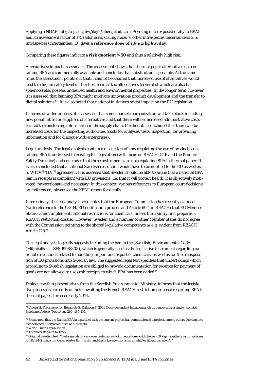Applying a NOAEL of 320 μg/kg bw/dag (Viberg et al, 2011[73](#page-40-5); young mice exposed orally to BPA) and an assessment factor of 175 (allometric scaling mice: 7; other intraspecies uncertainties: 2.5; intraspecies uncertainties: 10) gives a **reference dose of 1.8 μg/kg bw/day**.

Comparing these figures indicate a **risk quotient > 50** and thus a relatively high risk.

*Alternatives/impact assessment.* The assessment shows that thermal paper alternatives not containing BPA are commercially available and concludes that substitution is possible. At the same time, the assessment points out that it cannot be assured that increased use of alternatives would lead to a higher safety level in the short term as the alternatives (several of which are also bisphenols) also possess undesired health and environmental properties. In the longer term, however, it is assessed that banning BPA might motivate innovation/product development and the transfer to digital solutions[74](#page-41-0). It is also noted that national initiatives might impact on the EU legislation.

In terms of wider impacts, it is assessed that some market reorganization will take place, including new possibilities for suppliers of alternatives and that there will be increased administrative costs related to transferring information in the supply chain. Further, it is concluded that there will be increased costs for the inspecting authorities (costs for analyses/tests, inspection, for providing information and for dialogue with enterprises).

*Legal analysis.* The legal analysis contain a discussion of how regulating the use of products containing BPA is addressed in existing EU legislation (with focus on REACH, CLP and the Product Safety Directive) and concludes that these instruments are not regulating BPA in thermal paper. It is also concluded that a national Swedish restriction would have to be notified to the EU as well as to WTOs<sup>[75](#page-41-1)</sup> TBT<sup>[76](#page-41-2)</sup> agreement. It is assessed that Sweden should be able to argue that a national BPA ban in receipts is compliant with EU provisions; i.e. that it will protect health, it is objectively motivated, proportionate and necessary. In this context, various references to European court decisions are referenced, please see the KEMI report for details.

Interestingly, the legal analysis also notes that the European Commission has recently claimed (with reference to the 98/34/EU notification process and Article 69.4 in REACH) that EU Member States cannot implement national restrictions for chemicals, unless the country first prepares a REACH restriction dossier. However, Sweden and a number of other Member States do not agree with the Commission pointing to the shared legislative competence as e.g. evident from REACH Article 128.2.

The legal analysis logically suggests including the ban in the [Swedish] Environmental Code (Miljöbalken – SFS 1998:808), which is generally used as the legislative instrument regarding national restrictions related to handling, import and export of chemicals; as well as for the transposition of EU provisions into Swedish law. The suggested legal text specifies that undertakings which according to Swedish legislation are obliged to provide documentation for receipts for payment of goods are not allowed to use cash receipts to which BPA has been added<sup>[77](#page-41-3)</sup>.

Dialogue with representatives from the Swedish Environmental Ministry, informs that the legislative process is currently on hold, awaiting the French REACH restriction proposal regarding BPA in thermal paper, foreseen early 2014.

 <sup>73</sup> Viberg H, Fredriksson A, Buratovic S, Eriksson P. 2011. Dose-dependent behavioural disturbances after a single neonatal Bisphenol A dose. Toxicology 290: 187-194.

<span id="page-41-0"></span><sup>74</sup> Please note that the Danish EPA in a parallel with the current project has commissioned a project, among others, looking into technological alternatives such as e-receipts.

<span id="page-41-4"></span><span id="page-41-1"></span><sup>75</sup> World Trade Organisation

<span id="page-41-2"></span><sup>76</sup> Technical Barriers to Trade

<span id="page-41-3"></span><sup>77</sup> Original Swedish text: "Verksamhetsutövare som omfattas av dokumentationsskyldigheten i 39 kap. i skatteförvaltningslagen (2011:1244) ifråga om kassaregister får inte tillhandahålla kassakvitton som innehåller tillsatt bisfenol A."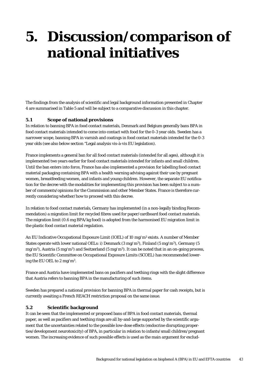## <span id="page-42-0"></span>**5. Discussion/comparison of national initiatives**

The findings from the analysis of scientific and legal background information presented in Chapter [4](#page-28-0) are summarised in Table 5 and will be subject to a comparative discussion in this chapter.

### <span id="page-42-1"></span>**5.1 Scope of national provisions**

In relation to banning BPA in food contact materials, Denmark and Belgium generally bans BPA in food contact materials intended to come into contact with food for the 0-3 year olds. Sweden has a narrower scope, banning BPA in varnish and coatings in food contact materials intended for the 0-3 year olds (see also below section "Legal analysis vis-à-vis EU legislation).

France implements a general ban for all food contact materials (intended for all ages), although it is implemented two years earlier for food contact materials intended for infants and small children. Until the ban enters into force, France has also implemented a provision for labelling food contact material packaging containing BPA with a health warning advising against their use by pregnant women, breastfeeding women, and infants and young children. However, the separate EU notification for the decree with the modalities for implementing this provision has been subject to a number of comments/opinions for the Commission and other Member States. France is therefore currently considering whether/how to proceed with this decree.

In relation to food contact materials, Germany has implemented (in a non-legally binding Recommendation) a migration limit for recycled fibres used for paper/cardboard food contact materials. The migration limit (0.6 mg BPA/kg food) is adopted from the harmonised EU migration limit in the plastic food contact material regulation.

An EU Indicative Occupational Exposure Limit (IOEL) of 10 mg/m3 exists. A number of Member States operate with lower national OELs: i) Denmark (3 mg/m3), Finland (5 mg/m3), Germany (5 mg/m<sup>3</sup>), Austria (5 mg/m<sup>3</sup>) and Switzerland (5 mg/m<sup>3</sup>). It can be noted that in an on-going process, the EU Scientific Committee on Occupational Exposure Limits (SCOEL) has recommended lowering the EU OEL to 2 mg/m3.

France and Austria have implemented bans on pacifiers and teething rings with the slight difference that Austria refers to banning BPA in the manufacturing of such items.

Sweden has prepared a national provision for banning BPA in thermal paper for cash receipts, but is currently awaiting a French REACH restriction proposal on the same issue.

### <span id="page-42-2"></span>**5.2 Scientific background**

It can be seen that the implemented or proposed bans of BPA in food contact materials, thermal paper, as well as pacifiers and teething rings are all by-and-large supported by the scientific argument that the uncertainties related to the possible low-dose effects (endocrine disrupting properties/development neurotoxicity) of BPA, in particular in relation to infants/small children/pregnant women. The increasing evidence of such possible effects is used as the main argument for exclud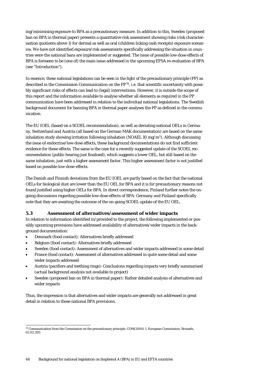ing/minimising exposure to BPA as a precautionary measure. In addition to this, Sweden (proposed ban on BPA in thermal paper) presents a quantitative risk assessment showing risks (risk characterisation quotients above 1) for dermal as well as oral (children licking cash receipts) exposure scenarios. We have not identified exposure/risk assessments specifically addressing the situation in countries were the national bans are implemented or suggested. The issue of possible low-dose effects of BPA is foreseen to be (one of) the main issue addressed in the upcoming EFSA re-evaluation of BPA (see "Introduction").

In essence, these national legislations can be seen in the light of the precautionary principle (PP) as described in the Commission Communication on the PP[78,](#page-41-4) i.e. that scientific uncertainty with possibly significant risks of effects can lead to (legal) interventions. However, it is outside the scope of this report and the information available to analyse whether all elements as required in the PP communication have been addressed in relation to the individual national legislations. The Swedish background document for banning BPA in thermal paper analyses the PP as defined in the communication.

The EU IOEL (based on a SCOEL recommendation), as well as deviating national OELs in Germany, Switzerland and Austria (all based on the German MAK documentation) are based on the same inhalation study showing irritation following inhalation (NOAEL 10 mg/m<sup>3</sup>). Although discussing the issue of endocrine/low-dose effects, these background documentations do not find sufficient evidence for these effects. The same is the case for a recently suggested update of the SCOEL recommendation (public hearing just finalised), which suggests a lower OEL, but still based on the same inhalation, just with a higher assessment factor. This higher assessment factor is not justified based on possible low-dose-effects.

The Danish and Finnish deviations from the EU IOEL are partly based on the fact that the national OELs for biological dust are lower than the EU OEL for BPA and it is for precautionary reasons not found justified using higher OELs for BPA. In direct correspondence, Finland further notes the ongoing discussions regarding possible low-dose effects of BPA. Germany and Finland specifically note that they are awaiting the outcome of the on-going SCOEL update of the EU OEL.

### <span id="page-43-0"></span>**5.3 Assessment of alternatives/assessment of wider impacts**

In relation to information identified in/provided to the project, the following implemented or possibly upcoming provisions have addressed availability of alternatives/wider impacts in the background documentation:

- Denmark (food contact): Alternatives briefly addressed
- Belgium (food contact): Alternatives briefly addressed
- Sweden (food contact): Assessment of alternatives and wider impacts addressed in some detail
- France (food contact): Assessment of alternatives addressed in quite some detail and some wider impacts addressed
- Austria (pacifiers and teething rings): Conclusions regarding impacts very briefly summarised (actual background analysis not available to project)
- Sweden (proposed ban on BPA in thermal paper): Rather detailed analysis of alternatives and wider impacts

Thus, the impression is that alternatives and wider impacts are generally not addressed in great detail in relation to these national BPA provisions.

 <sup>78</sup> Communication from the Commission on the precautionary principle. COM(2000) 1. European Commission. Brussels, 02.02.200.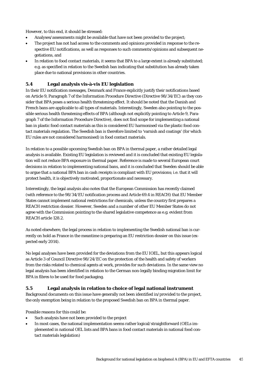However, to this end, it should be stressed:

- Analyses/assessments might be available that have not been provided to the project;
- The project has not had access to the comments and opinions provided in response to the respective EU notifications, as well as responses to such comments/opinions and subsequent negotiations, and
- In relation to food contact materials, it seems that BPA to a large extent is already substituted; e.g. as specified in relation to the Swedish ban indicating that substitution has already taken place due to national provisions in other countries.

## <span id="page-44-0"></span>**5.4 Legal analysis vis-à-vis EU legislation**

In their EU notification messages, Denmark and France explicitly justify their notifications based on Article 9, Paragraph 7 of the Information Procedure Directive (Directive 98/34/EC) as they consider that BPA poses a serious health threatening effect. It should be noted that the Danish and French bans are applicable to all types of materials. Interestingly, Sweden also pointing to the possible serious health threatening effects of BPA (although not explicitly pointing to Article 9, Paragraph 7 of the Information Procedure Directive), does not find scope for implementing a national ban in plastic food contact materials as this is considered EU harmonised via the plastic food contact materials regulation. The Swedish ban is therefore limited to 'varnish and coatings' (for which EU rules are not considered harmonised) in food contact materials.

In relation to a possible upcoming Swedish ban on BPA in thermal paper, a rather detailed legal analysis is available. Existing EU legislation is reviewed and it is concluded that existing EU legislation will not reduce BPA exposure in thermal paper. Reference is made to several European court decisions in relation to implementing national bans, and it is concluded that Sweden should be able to argue that a national BPA ban in cash receipts is compliant with EU provisions; i.e. that it will protect health, it is objectively motivated, proportionate and necessary.

Interestingly, the legal analysis also notes that the European Commission has recently claimed (with reference to the 98/34/EU notification process and Article 69.4 in REACH) that EU Member States cannot implement national restrictions for chemicals, unless the country first prepares a REACH restriction dossier. However, Sweden and a number of other EU Member States do not agree with the Commission pointing to the shared legislative competence as e.g. evident from REACH article 128.2.

As noted elsewhere, the legal process in relation to implementing the Swedish national ban is currently on hold as France in the meantime is preparing an EU restriction dossier on this issue (expected early 2014).

No legal analyses have been provided for the deviations from the EU IOEL, but this appears logical as Article 3 of Council Directive 98/24/EC on the protection of the health and safety of workers from the risks related to chemical agents at work, provides for such deviations. In the same view no legal analysis has been identified in relation to the German non-legally binding migration limit for BPA in fibres to be used for food packaging.

### <span id="page-44-1"></span>**5.5 Legal analysis in relation to choice of legal national instrument**

Background documents on this issue have generally not been identified in/provided to the project, the only exemption being in relation to the proposed Swedish ban on BPA in thermal paper.

Possible reasons for this could be:

- Such analysis have not been provided to the project
- In most cases, the national implementation seems rather logical/straightforward (OELs implemented in national OEL lists and BPA bans in food contact materials in national food contact materials legislation)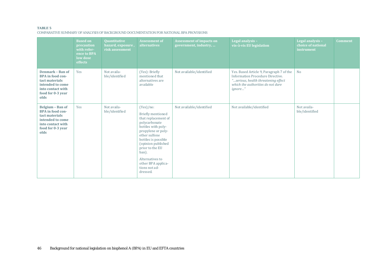#### **TABLE 5**

COMPARATIVE SUMMARY OF ANALYSIS OF BACKGROUND DOCUMENTATION FOR NATIONAL BPA PROVISIONS

|                                                                                                                                            | <b>Based on</b><br>precaution<br>with refer-<br>ence to BPA<br>low dose<br>effects | <b>Quantitative</b><br>hazard, exposure,<br>risk assessment | <b>Assessment of</b><br>alternatives                                                                                                                                                                                                                                               | <b>Assessment of impacts on</b><br>government, industry, | Legal analysis -<br>vis-à-vis EU legislation                                                                                                                        | Legal analysis -<br>choice of national<br>instrument | <b>Comment</b> |
|--------------------------------------------------------------------------------------------------------------------------------------------|------------------------------------------------------------------------------------|-------------------------------------------------------------|------------------------------------------------------------------------------------------------------------------------------------------------------------------------------------------------------------------------------------------------------------------------------------|----------------------------------------------------------|---------------------------------------------------------------------------------------------------------------------------------------------------------------------|------------------------------------------------------|----------------|
| <b>Denmark - Ban of</b><br><b>BPA</b> in food con-<br>tact materials<br>intended to come<br>into contact with<br>food for 0-3 year<br>olds | Yes                                                                                | Not availa-<br>ble/identified                               | (Yes): Briefly<br>mentioned that<br>alternatives are<br>available                                                                                                                                                                                                                  | Not available/identified                                 | Yes. Based Article 9, Paragraph 7 of the<br>Information Procedure Directive.<br>"serious, health threatening effect<br>which the authorities do not dare<br>ignore" | N <sub>o</sub>                                       |                |
| Belgium - Ban of<br><b>BPA</b> in food con-<br>tact materials<br>intended to come<br>into contact with<br>food for 0-3 year<br>olds        | Yes                                                                                | Not availa-<br>ble/identified                               | (Yes)/no:<br>Briefly mentioned<br>that replacement of<br>polycarbonate<br>bottles with poly-<br>propylene or poly-<br>ether sulfone<br>bottles is possible<br>(opinion published<br>prior to the EU<br>ban).<br>Alternatives to<br>other BPA applica-<br>tions not ad-<br>dressed. | Not available/identified                                 | Not available/identified                                                                                                                                            | Not availa-<br>ble/identified                        |                |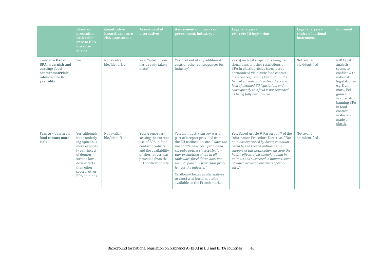|                                                                                                                     | <b>Based on</b><br>precaution<br>with refer-<br>ence to BPA<br>low dose<br>effects                                                                                                      | <b>Quantitative</b><br>hazard, exposure,<br>risk assessment | <b>Assessment of</b><br><b>alternatives</b>                                                                                                                                    | <b>Assessment of impacts on</b><br>government, industry,                                                                                                                                                                                                                                                                                                                                                                   | Legal analysis -<br>vis-à-vis EU legislation                                                                                                                                                                                                                                                                                                                     | Legal analysis -<br>choice of national<br>instrument | <b>Comment</b>                                                                                                                                                                                                  |
|---------------------------------------------------------------------------------------------------------------------|-----------------------------------------------------------------------------------------------------------------------------------------------------------------------------------------|-------------------------------------------------------------|--------------------------------------------------------------------------------------------------------------------------------------------------------------------------------|----------------------------------------------------------------------------------------------------------------------------------------------------------------------------------------------------------------------------------------------------------------------------------------------------------------------------------------------------------------------------------------------------------------------------|------------------------------------------------------------------------------------------------------------------------------------------------------------------------------------------------------------------------------------------------------------------------------------------------------------------------------------------------------------------|------------------------------------------------------|-----------------------------------------------------------------------------------------------------------------------------------------------------------------------------------------------------------------|
| Sweden - Ban of<br><b>BPA</b> in varnish and<br>coatings food<br>contact materials<br>intended for 0-3<br>vear olds | Yes                                                                                                                                                                                     | Not availa-<br>ble/identified                               | Yes: "Substitution<br>has already taken<br>place"                                                                                                                              | Yes: "not entail any additional<br>costs or other consequences for<br>industry"                                                                                                                                                                                                                                                                                                                                            | Yes: i) no legal scope for issuing na-<br>tional bans or other restrictions on<br>BPA in plastic articles (considered<br>harmonized via plastic food contact<br>material regulation), but ii) "in the<br>field of varnish and coating there is a<br>lack of detailed EU legislation, and<br>consequently this field is not regarded<br>as being fully harmonised | Not availa-<br>ble/identified                        | NB! Legal<br>analysis<br>seems to<br>conflict with<br>national<br>legislation in<br>e.g. Den-<br>mark, Bel-<br>gium and<br>France, also<br>banning BPA<br>in food<br>contact<br>materials<br>made of<br>plastic |
| France - ban in all<br>food contact mate-<br>rials                                                                  | Yes, although<br>it the underly-<br>ing opinion is<br>more explicit-<br>ly convinced<br>of demon-<br>strated low-<br>dose-effects<br>than other<br>several other<br><b>BPA</b> opinions | Not availa-<br>ble/identified                               | Yes: A report as-<br>sessing the current<br>use of BPA in food<br>contact products<br>and the availability<br>of alternatives was<br>provided from the<br>EU notification site | Yes: an industry survey was a<br>part of a report provided from<br>the EU notification site. " since the<br>use of BPA have been prohibited<br>sin baby bottles since 2010, fur-<br>ther prohibition of use in all<br>tableware for children does not<br>seem to pose any particular prob-<br>lem for the industry."<br>Cardboard boxes as alternatives<br>to cans) was found not to be<br>available on the French market. | Yes. Based Article 9, Paragraph 7 of the<br>Information Procedure Directive. "The<br>opinions expressed by Anses, communi-<br>cated by the French authorities in<br>support of this notification, disclose the<br>health effects of bisphenol A found in<br>animals and suspected in humans, some<br>of which occur at low levels of expo-<br>sure."             | Not availa-<br>ble/identified                        |                                                                                                                                                                                                                 |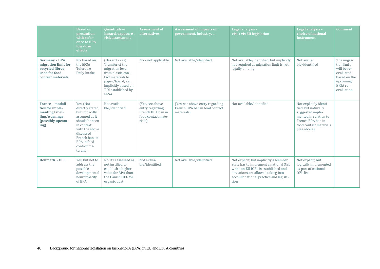|                                                                                                      | <b>Based on</b><br>precaution<br>with refer-<br>ence to BPA<br>low dose<br>effects                                                                                                         | <b>Quantitative</b><br>hazard, exposure,<br>risk assessment                                                                                                                     | <b>Assessment of</b><br>alternatives                                                     | <b>Assessment of impacts on</b><br>government, industry,                        | Legal analysis -<br>vis-à-vis EU legislation                                                                                                                                                                 | Legal analysis -<br>choice of national<br><b>instrument</b>                                                                                              | <b>Comment</b>                                                                                             |
|------------------------------------------------------------------------------------------------------|--------------------------------------------------------------------------------------------------------------------------------------------------------------------------------------------|---------------------------------------------------------------------------------------------------------------------------------------------------------------------------------|------------------------------------------------------------------------------------------|---------------------------------------------------------------------------------|--------------------------------------------------------------------------------------------------------------------------------------------------------------------------------------------------------------|----------------------------------------------------------------------------------------------------------------------------------------------------------|------------------------------------------------------------------------------------------------------------|
| <b>Germany - BPA</b><br>migration limit for<br>recycled fibres<br>used for food<br>contact materials | No, based on<br>the EFSA<br>Tolerable<br>Daily Intake                                                                                                                                      | (Hazard - Yes)<br>Transfer of the<br>migration level<br>from plastic con-<br>tact materials to<br>paper/board; i.e.<br>implicitly based on<br>TDI established by<br><b>EFSA</b> | No - not applicable                                                                      | Not available/identified                                                        | Not available/identified, but implicitly<br>not required as migration limit is not<br>legally binding                                                                                                        | Not availa-<br>ble/identified                                                                                                                            | The migra-<br>tion limit<br>will be re-<br>evaluated<br>based on the<br>upcoming<br>EFSA re-<br>evaluation |
| France - modali-<br>ties for imple-<br>menting label-<br>ling/warnings<br>(possibly upcom-<br>ing)   | Yes. (Not<br>directly stated,<br>but implicitly<br>assumed as it<br>should be seen<br>in context<br>with the above<br>discussed<br>French ban on<br>BPA in food<br>contact ma-<br>terails) | Not availa-<br>ble/identified                                                                                                                                                   | (Yes, see above)<br>entry regarding<br>French BPA ban in<br>food contact mate-<br>rials) | (Yes, see above entry regarding<br>French BPA ban in food contact<br>materials) | Not available/identified                                                                                                                                                                                     | Not explicitly identi-<br>fied, but naturally<br>suggested imple-<br>mented in relation to<br>French BPA ban in<br>food contact materials<br>(see above) |                                                                                                            |
| <b>Denmark - OEL</b>                                                                                 | Yes, but not to<br>address the<br>possible<br>developmental<br>neurotoxicity<br>of BPA                                                                                                     | No. It is assessed as<br>not justified to<br>establish a higher<br>value for BPA than<br>the Danish OEL for<br>organic dust                                                     | Not availa-<br>ble/identified                                                            | Not available/identified                                                        | Not explicit, but implicitly a Member<br>State has to implement a national OEL<br>when an EU IOEL is established and<br>deviations are allowed taking into<br>account national practice and legisla-<br>tion | Not explicit, but<br>logically implemented<br>as part of national<br><b>OEL</b> list                                                                     |                                                                                                            |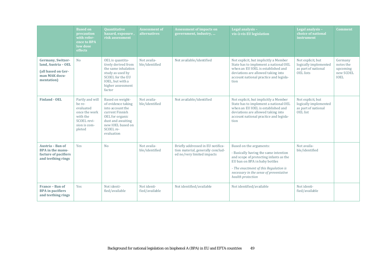|                                                                                               | <b>Based on</b><br>precaution<br>with refer-<br>ence to BPA<br>low dose<br>effects                           | <b>Quantitative</b><br>hazard, exposure,<br>risk assessment                                                                                                           | <b>Assessment of</b><br>alternatives | <b>Assessment of impacts on</b><br>government, industry,                                             | Legal analysis -<br>vis-à-vis EU legislation                                                                                                                                                                                                        | Legal analysis -<br>choice of national<br>instrument                                  | <b>Comment</b>                                               |
|-----------------------------------------------------------------------------------------------|--------------------------------------------------------------------------------------------------------------|-----------------------------------------------------------------------------------------------------------------------------------------------------------------------|--------------------------------------|------------------------------------------------------------------------------------------------------|-----------------------------------------------------------------------------------------------------------------------------------------------------------------------------------------------------------------------------------------------------|---------------------------------------------------------------------------------------|--------------------------------------------------------------|
| Germany, Switzer-<br>land, Austria - OEL<br>(all based on Ger-<br>man MAK docu-<br>mentation) | N <sub>o</sub>                                                                                               | OEL is quantita-<br>tively derived from<br>the same inhalation<br>study as used by<br>SCOEL for the EU<br>IOEL, but with a<br>higher assessment<br>factor             | Not availa-<br>ble/identified        | Not available/identified                                                                             | Not explicit, but implicitly a Member<br>State has to implement a national OEL<br>when an EU IOEL is established and<br>deviations are allowed taking into<br>account national practice and legisla-<br>tion                                        | Not explicit, but<br>logically implemented<br>as part of national<br><b>OEL</b> lists | Germany<br>notes the<br>upcoming<br>new SCOEL<br><b>IOEL</b> |
| <b>Finland - OEL</b>                                                                          | Partly and will<br>be re-<br>evaluated<br>once the work<br>with the<br>SCOEL revi-<br>sion is com-<br>pleted | Based on weight-<br>of-evidence taking<br>into account the<br>current Finnish<br>OEL for organic<br>dust and awaiting<br>new IOEL based on<br>SCOEL re-<br>evaluation | Not availa-<br>ble/identified        | Not available/identified                                                                             | Not explicit, but implicitly a Member<br>State has to implement a national OEL<br>when an EU IOEL is established and<br>deviations are allowed taking into<br>account national practice and legisla-<br>tion                                        | Not explicit, but<br>logically implemented<br>as part of national<br><b>OEL</b> list  |                                                              |
| Austria - Ban of<br><b>BPA</b> in the manu-<br>facture of pacifiers<br>and teething rings     | Yes                                                                                                          | N <sub>o</sub>                                                                                                                                                        | Not availa-<br>ble/identified        | Briefly addressed in EU notifica-<br>tion material, generally conclud-<br>ed no/very limited impacts | Based on the arguments:<br>- Basically having the same intention<br>and scope of protecting infants as the<br>EU ban on BPA in baby bottles<br>- The enactment of this Regulation is<br>necessary in the sense of preventative<br>health protection | Not availa-<br>ble/identified                                                         |                                                              |
| France - Ban of<br><b>BPA</b> in pacifiers<br>and teething rings                              | Yes                                                                                                          | Not identi-<br>fied/available                                                                                                                                         | Not identi-<br>fied/available        | Not identified/available                                                                             | Not identified/available                                                                                                                                                                                                                            | Not identi-<br>fied/available                                                         |                                                              |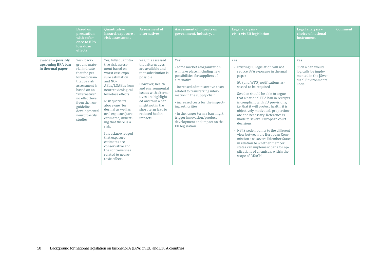|                                                           | <b>Based on</b><br>precaution<br>with refer-<br>ence to BPA<br>low dose<br>effects                                                                                                                                                            | <b>Ouantitative</b><br>hazard, exposure,<br>risk assessment                                                                                                                                                                                                                                                                                                                                                                                               | <b>Assessment of</b><br>alternatives                                                                                                                                                                                                                                                    | <b>Assessment of impacts on</b><br>government, industry,                                                                                                                                                                                                                                                                                                                                                         | Legal analysis -<br>vis-à-vis EU legislation                                                                                                                                                                                                                                                                                                                                                                                                                                                                                                                                                                                                                                | Legal analysis -<br>choice of national<br>instrument                                                  | <b>Comment</b> |
|-----------------------------------------------------------|-----------------------------------------------------------------------------------------------------------------------------------------------------------------------------------------------------------------------------------------------|-----------------------------------------------------------------------------------------------------------------------------------------------------------------------------------------------------------------------------------------------------------------------------------------------------------------------------------------------------------------------------------------------------------------------------------------------------------|-----------------------------------------------------------------------------------------------------------------------------------------------------------------------------------------------------------------------------------------------------------------------------------------|------------------------------------------------------------------------------------------------------------------------------------------------------------------------------------------------------------------------------------------------------------------------------------------------------------------------------------------------------------------------------------------------------------------|-----------------------------------------------------------------------------------------------------------------------------------------------------------------------------------------------------------------------------------------------------------------------------------------------------------------------------------------------------------------------------------------------------------------------------------------------------------------------------------------------------------------------------------------------------------------------------------------------------------------------------------------------------------------------------|-------------------------------------------------------------------------------------------------------|----------------|
| Sweden - possibly<br>upcoming BPA ban<br>in thermal paper | Yes - back-<br>ground mate-<br>rial indicate<br>that the per-<br>formed quan-<br>titative risk<br>assessment is<br>based on an<br>"alternative"<br>no effect level<br>from the non-<br>guideline<br>developmental<br>neurotoxicity<br>studies | Yes, fully quantita-<br>tive risk assess-<br>ment based on<br>worst case expo-<br>sure estimation<br>and NO-<br>AELs/LOAELs from<br>neurotoxicological<br>low-dose effects.<br>Risk quotients<br>above one (for<br>dermal as well as<br>oral exposure) are<br>estimated, indicat-<br>ing that there is a<br>risk.<br>It is acknowledged<br>that exposure<br>estimates are<br>conservative and<br>the controversies<br>related to neuro-<br>toxic effects. | Yes, it is assessed<br>that alternatives<br>are available and<br>that substitution is<br>possible.<br>However, health<br>and environmental<br>issues with alterna-<br>tives are highlight-<br>ed and thus a ban<br>might not in the<br>short term lead to<br>reduced health<br>impacts. | Yes:<br>- some market reorganization<br>will take place, including new<br>possibilities for suppliers of<br>alternative<br>- increased administrative costs<br>related to transferring infor-<br>mation in the supply chain<br>- increased costs for the inspect-<br>ing authorities<br>- in the longer term a ban might<br>trigger innovation/product<br>development and impact on the<br><b>EU</b> legislation | Yes<br>Existing EU legislation will not<br>reduce BPA exposure in thermal<br>paper<br>EU (and WTO) notifications as-<br>sessed to be required<br>Sweden should be able to argue<br>that a national BPA ban in receipts<br>is compliant with EU provisions;<br>i.e. that it will protect health, it is<br>objectively motivated, proportion-<br>ate and necessary. Reference is<br>made to several European court<br>decisions.<br>- NB! Sweden points to the different<br>view between the European Com-<br>mission and several Member States<br>in relation to whether member<br>states can implement bans for ap-<br>plications of chemicals within the<br>scope of REACH | Yes<br>Such a ban would<br>logically be imple-<br>mented in the [Swe-<br>dish] Environmental<br>Code. |                |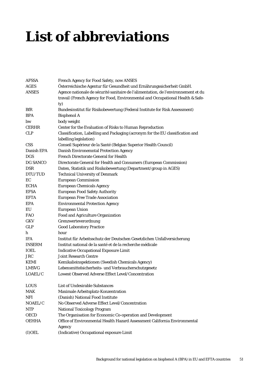# <span id="page-50-0"></span>**List of abbreviations**

| <b>AFSSA</b>  | French Agency for Food Safety, now ANSES                                           |
|---------------|------------------------------------------------------------------------------------|
| <b>AGES</b>   | Österreichische Agentur für Gesundheit und Ernährungssicherheit GmbH.              |
| <b>ANSES</b>  | Agence nationale de sécurité sanitaire de l'alimentation, de l'environnement et du |
|               | travail (French Agency for Food, Environmental and Occupational Health & Safe-     |
|               | ty)                                                                                |
| <b>BfR</b>    | Bundesinstitut für Risikobewertung (Federal Institute for Risk Assessment)         |
| <b>BPA</b>    | <b>Bisphenol A</b>                                                                 |
| bw            | body weight                                                                        |
| <b>CERHR</b>  | Center for the Evaluation of Risks to Human Reproduction                           |
| <b>CLP</b>    | Classification, Labelling and Packaging (acronym for the EU classification and     |
|               | labelling legislation)                                                             |
| <b>CSS</b>    | Conseil Supérieur de la Santé (Belgian Superior Health Council)                    |
| Danish EPA    | <b>Danish Environemntal Protection Agency</b>                                      |
| DGS           | <b>French Directorate General for Health</b>                                       |
| DG SANCO      | Directorate General for Health and Consumers (European Commission)                 |
| <b>DSR</b>    | Daten, Statistik und Risikobewertung (Department/group in AGES)                    |
| DTU/TUD       | <b>Technical University of Denmark</b>                                             |
| EC            | <b>European Commission</b>                                                         |
| <b>ECHA</b>   | <b>European Chemicals Agency</b>                                                   |
| <b>EFSA</b>   | <b>European Food Safety Authority</b>                                              |
| <b>EFTA</b>   | <b>European Free Trade Association</b>                                             |
| <b>EPA</b>    | <b>Environmental Protection Agency</b>                                             |
| EU            | <b>European Union</b>                                                              |
| <b>FAO</b>    | Food and Agriculture Organization                                                  |
| <b>GKV</b>    | Grenzwerteverordnung                                                               |
| <b>GLP</b>    | <b>Good Laboratory Practice</b>                                                    |
| h             | hour                                                                               |
| <b>IFA</b>    | Institut für Arbeitsschutz der Deutschen Gesetzlichen Unfallversicherung           |
| <b>INSERM</b> | Institut national de la santé et de la recherche médicale                          |
| <b>IOEL</b>   | <b>Indicative Occupational Exposure Limit</b>                                      |
| <b>JRC</b>    | <b>Joint Research Centre</b>                                                       |
| <b>KEMI</b>   | Kemikalieinspektionen (Swedish Chemicals Agency)                                   |
| <b>LMSVG</b>  | Lebensmittelsicherheits- und Verbraucherschutzgesetz                               |
| LOAEL/C       | Lowest Observed Adverse Effect Level/Concentration                                 |
| <b>LOUS</b>   | <b>List of Undesirable Substances</b>                                              |
| MAK           | Maximale Arbeitsplatz-Konzentration                                                |
| <b>NFI</b>    | (Danish) National Food Institute                                                   |
| NOAEL/C       | No Observed Adverse Effect Level/Concentration                                     |
| <b>NTP</b>    | <b>National Toxicology Program</b>                                                 |
| <b>OECD</b>   | The Organisation for Economic Co-operation and Development                         |
| <b>OEHHA</b>  | Office of Environmental Health Hazard Assessment California Environmental          |
|               | Agency                                                                             |
| $(I)$ OEL     | (Indicative) Occupational exposure Limit                                           |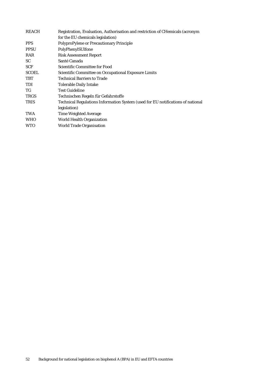| Registration, Evaluation, Authorisation and restriction of CHemicals (acronym   |
|---------------------------------------------------------------------------------|
| for the EU chemicals legislation)                                               |
| PolyproPylene or Precautionary Principle                                        |
| PolyPhenylSUlfone                                                               |
| <b>Risk Assessment Report</b>                                                   |
| Santé Canada                                                                    |
| Scientific Committee for Food                                                   |
| <b>Scientific Committee on Occupational Exposure Limits</b>                     |
| <b>Technical Barriers to Trade</b>                                              |
| <b>Tolerable Daily Intake</b>                                                   |
| <b>Test Guideline</b>                                                           |
| Technischen Regeln für Gefahrstoffe                                             |
| Technical Regulations Information System (used for EU notifications of national |
| legislation)                                                                    |
| <b>Time Weighted Average</b>                                                    |
| <b>World Health Organization</b>                                                |
| <b>World Trade Organisation</b>                                                 |
|                                                                                 |